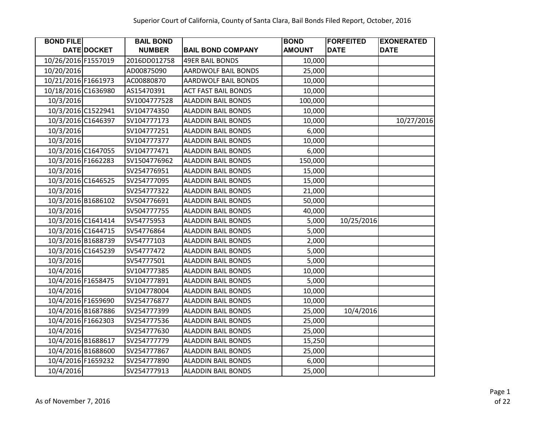| <b>BOND FILE</b>    |                    | <b>BAIL BOND</b> |                            | <b>BOND</b>   | <b>FORFEITED</b> | <b>EXONERATED</b> |
|---------------------|--------------------|------------------|----------------------------|---------------|------------------|-------------------|
|                     | DATE DOCKET        | <b>NUMBER</b>    | <b>BAIL BOND COMPANY</b>   | <b>AMOUNT</b> | <b>DATE</b>      | <b>DATE</b>       |
| 10/26/2016 F1557019 |                    | 2016DD012758     | <b>49ER BAIL BONDS</b>     | 10,000        |                  |                   |
| 10/20/2016          |                    | AD00875090       | <b>AARDWOLF BAIL BONDS</b> | 25,000        |                  |                   |
| 10/21/2016 F1661973 |                    | AC00880870       | <b>AARDWOLF BAIL BONDS</b> | 10,000        |                  |                   |
| 10/18/2016 C1636980 |                    | AS15470391       | <b>ACT FAST BAIL BONDS</b> | 10,000        |                  |                   |
| 10/3/2016           |                    | SV1004777528     | <b>ALADDIN BAIL BONDS</b>  | 100,000       |                  |                   |
|                     | 10/3/2016 C1522941 | SV104774350      | <b>ALADDIN BAIL BONDS</b>  | 10,000        |                  |                   |
|                     | 10/3/2016 C1646397 | SV104777173      | <b>ALADDIN BAIL BONDS</b>  | 10,000        |                  | 10/27/2016        |
| 10/3/2016           |                    | SV104777251      | <b>ALADDIN BAIL BONDS</b>  | 6,000         |                  |                   |
| 10/3/2016           |                    | SV104777377      | <b>ALADDIN BAIL BONDS</b>  | 10,000        |                  |                   |
|                     | 10/3/2016 C1647055 | SV104777471      | <b>ALADDIN BAIL BONDS</b>  | 6,000         |                  |                   |
|                     | 10/3/2016 F1662283 | SV1504776962     | <b>ALADDIN BAIL BONDS</b>  | 150,000       |                  |                   |
| 10/3/2016           |                    | SV254776951      | <b>ALADDIN BAIL BONDS</b>  | 15,000        |                  |                   |
|                     | 10/3/2016 C1646525 | SV254777095      | <b>ALADDIN BAIL BONDS</b>  | 15,000        |                  |                   |
| 10/3/2016           |                    | SV254777322      | <b>ALADDIN BAIL BONDS</b>  | 21,000        |                  |                   |
|                     | 10/3/2016 B1686102 | SV504776691      | <b>ALADDIN BAIL BONDS</b>  | 50,000        |                  |                   |
| 10/3/2016           |                    | SV504777755      | <b>ALADDIN BAIL BONDS</b>  | 40,000        |                  |                   |
|                     | 10/3/2016 C1641414 | SV54775953       | <b>ALADDIN BAIL BONDS</b>  | 5,000         | 10/25/2016       |                   |
|                     | 10/3/2016 C1644715 | SV54776864       | <b>ALADDIN BAIL BONDS</b>  | 5,000         |                  |                   |
|                     | 10/3/2016 B1688739 | SV54777103       | <b>ALADDIN BAIL BONDS</b>  | 2,000         |                  |                   |
|                     | 10/3/2016 C1645239 | SV54777472       | <b>ALADDIN BAIL BONDS</b>  | 5,000         |                  |                   |
| 10/3/2016           |                    | SV54777501       | <b>ALADDIN BAIL BONDS</b>  | 5,000         |                  |                   |
| 10/4/2016           |                    | SV104777385      | <b>ALADDIN BAIL BONDS</b>  | 10,000        |                  |                   |
| 10/4/2016 F1658475  |                    | SV104777891      | <b>ALADDIN BAIL BONDS</b>  | 5,000         |                  |                   |
| 10/4/2016           |                    | SV104778004      | <b>ALADDIN BAIL BONDS</b>  | 10,000        |                  |                   |
|                     | 10/4/2016 F1659690 | SV254776877      | <b>ALADDIN BAIL BONDS</b>  | 10,000        |                  |                   |
|                     | 10/4/2016 B1687886 | SV254777399      | <b>ALADDIN BAIL BONDS</b>  | 25,000        | 10/4/2016        |                   |
|                     | 10/4/2016 F1662303 | SV254777536      | <b>ALADDIN BAIL BONDS</b>  | 25,000        |                  |                   |
| 10/4/2016           |                    | SV254777630      | <b>ALADDIN BAIL BONDS</b>  | 25,000        |                  |                   |
|                     | 10/4/2016 B1688617 | SV254777779      | <b>ALADDIN BAIL BONDS</b>  | 15,250        |                  |                   |
|                     | 10/4/2016 B1688600 | SV254777867      | <b>ALADDIN BAIL BONDS</b>  | 25,000        |                  |                   |
|                     | 10/4/2016 F1659232 | SV254777890      | <b>ALADDIN BAIL BONDS</b>  | 6,000         |                  |                   |
| 10/4/2016           |                    | SV254777913      | <b>ALADDIN BAIL BONDS</b>  | 25,000        |                  |                   |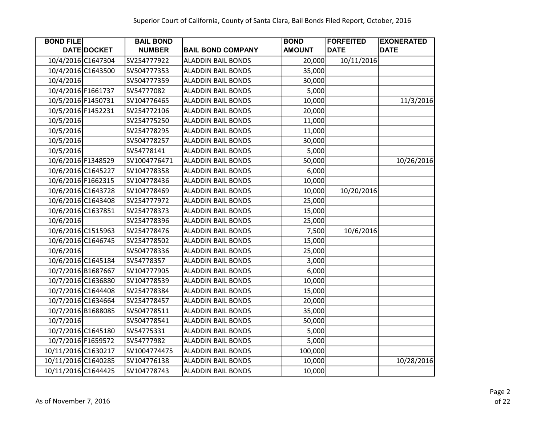| <b>BOND FILE</b>    |                    | <b>BAIL BOND</b> |                           | <b>BOND</b>   | <b>FORFEITED</b> | <b>EXONERATED</b> |
|---------------------|--------------------|------------------|---------------------------|---------------|------------------|-------------------|
|                     | DATE DOCKET        | <b>NUMBER</b>    | <b>BAIL BOND COMPANY</b>  | <b>AMOUNT</b> | <b>DATE</b>      | <b>DATE</b>       |
|                     | 10/4/2016 C1647304 | SV254777922      | <b>ALADDIN BAIL BONDS</b> | 20,000        | 10/11/2016       |                   |
|                     | 10/4/2016 C1643500 | SV504777353      | <b>ALADDIN BAIL BONDS</b> | 35,000        |                  |                   |
| 10/4/2016           |                    | SV504777359      | <b>ALADDIN BAIL BONDS</b> | 30,000        |                  |                   |
|                     | 10/4/2016 F1661737 | SV54777082       | <b>ALADDIN BAIL BONDS</b> | 5,000         |                  |                   |
| 10/5/2016 F1450731  |                    | SV104776465      | <b>ALADDIN BAIL BONDS</b> | 10,000        |                  | 11/3/2016         |
|                     | 10/5/2016 F1452231 | SV254772106      | <b>ALADDIN BAIL BONDS</b> | 20,000        |                  |                   |
| 10/5/2016           |                    | SV254775250      | <b>ALADDIN BAIL BONDS</b> | 11,000        |                  |                   |
| 10/5/2016           |                    | SV254778295      | <b>ALADDIN BAIL BONDS</b> | 11,000        |                  |                   |
| 10/5/2016           |                    | SV504778257      | <b>ALADDIN BAIL BONDS</b> | 30,000        |                  |                   |
| 10/5/2016           |                    | SV54778141       | <b>ALADDIN BAIL BONDS</b> | 5,000         |                  |                   |
|                     | 10/6/2016 F1348529 | SV1004776471     | <b>ALADDIN BAIL BONDS</b> | 50,000        |                  | 10/26/2016        |
|                     | 10/6/2016 C1645227 | SV104778358      | <b>ALADDIN BAIL BONDS</b> | 6,000         |                  |                   |
|                     | 10/6/2016 F1662315 | SV104778436      | <b>ALADDIN BAIL BONDS</b> | 10,000        |                  |                   |
|                     | 10/6/2016 C1643728 | SV104778469      | <b>ALADDIN BAIL BONDS</b> | 10,000        | 10/20/2016       |                   |
|                     | 10/6/2016 C1643408 | SV254777972      | <b>ALADDIN BAIL BONDS</b> | 25,000        |                  |                   |
|                     | 10/6/2016 C1637851 | SV254778373      | <b>ALADDIN BAIL BONDS</b> | 15,000        |                  |                   |
| 10/6/2016           |                    | SV254778396      | <b>ALADDIN BAIL BONDS</b> | 25,000        |                  |                   |
|                     | 10/6/2016 C1515963 | SV254778476      | <b>ALADDIN BAIL BONDS</b> | 7,500         | 10/6/2016        |                   |
|                     | 10/6/2016 C1646745 | SV254778502      | <b>ALADDIN BAIL BONDS</b> | 15,000        |                  |                   |
| 10/6/2016           |                    | SV504778336      | <b>ALADDIN BAIL BONDS</b> | 25,000        |                  |                   |
|                     | 10/6/2016 C1645184 | SV54778357       | <b>ALADDIN BAIL BONDS</b> | 3,000         |                  |                   |
|                     | 10/7/2016 B1687667 | SV104777905      | <b>ALADDIN BAIL BONDS</b> | 6,000         |                  |                   |
|                     | 10/7/2016 C1636880 | SV104778539      | <b>ALADDIN BAIL BONDS</b> | 10,000        |                  |                   |
|                     | 10/7/2016 C1644408 | SV254778384      | <b>ALADDIN BAIL BONDS</b> | 15,000        |                  |                   |
|                     | 10/7/2016 C1634664 | SV254778457      | <b>ALADDIN BAIL BONDS</b> | 20,000        |                  |                   |
|                     | 10/7/2016 B1688085 | SV504778511      | <b>ALADDIN BAIL BONDS</b> | 35,000        |                  |                   |
| 10/7/2016           |                    | SV504778541      | <b>ALADDIN BAIL BONDS</b> | 50,000        |                  |                   |
|                     | 10/7/2016 C1645180 | SV54775331       | <b>ALADDIN BAIL BONDS</b> | 5,000         |                  |                   |
|                     | 10/7/2016 F1659572 | SV54777982       | <b>ALADDIN BAIL BONDS</b> | 5,000         |                  |                   |
| 10/11/2016 C1630217 |                    | SV1004774475     | <b>ALADDIN BAIL BONDS</b> | 100,000       |                  |                   |
| 10/11/2016 C1640285 |                    | SV104776138      | <b>ALADDIN BAIL BONDS</b> | 10,000        |                  | 10/28/2016        |
| 10/11/2016 C1644425 |                    | SV104778743      | <b>ALADDIN BAIL BONDS</b> | 10,000        |                  |                   |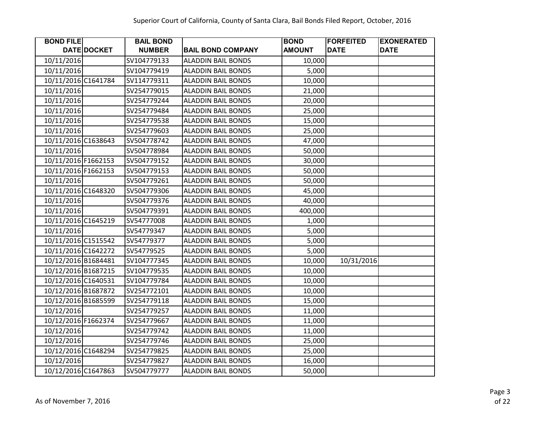| <b>BOND FILE</b>    |             | <b>BAIL BOND</b> |                           | <b>BOND</b>   | <b>FORFEITED</b> | <b>EXONERATED</b> |
|---------------------|-------------|------------------|---------------------------|---------------|------------------|-------------------|
|                     | DATE DOCKET | <b>NUMBER</b>    | <b>BAIL BOND COMPANY</b>  | <b>AMOUNT</b> | <b>DATE</b>      | <b>DATE</b>       |
| 10/11/2016          |             | SV104779133      | <b>ALADDIN BAIL BONDS</b> | 10,000        |                  |                   |
| 10/11/2016          |             | SV104779419      | <b>ALADDIN BAIL BONDS</b> | 5,000         |                  |                   |
| 10/11/2016 C1641784 |             | SV114779311      | <b>ALADDIN BAIL BONDS</b> | 10,000        |                  |                   |
| 10/11/2016          |             | SV254779015      | <b>ALADDIN BAIL BONDS</b> | 21,000        |                  |                   |
| 10/11/2016          |             | SV254779244      | <b>ALADDIN BAIL BONDS</b> | 20,000        |                  |                   |
| 10/11/2016          |             | SV254779484      | <b>ALADDIN BAIL BONDS</b> | 25,000        |                  |                   |
| 10/11/2016          |             | SV254779538      | <b>ALADDIN BAIL BONDS</b> | 15,000        |                  |                   |
| 10/11/2016          |             | SV254779603      | <b>ALADDIN BAIL BONDS</b> | 25,000        |                  |                   |
| 10/11/2016 C1638643 |             | SV504778742      | <b>ALADDIN BAIL BONDS</b> | 47,000        |                  |                   |
| 10/11/2016          |             | SV504778984      | <b>ALADDIN BAIL BONDS</b> | 50,000        |                  |                   |
| 10/11/2016 F1662153 |             | SV504779152      | <b>ALADDIN BAIL BONDS</b> | 30,000        |                  |                   |
| 10/11/2016 F1662153 |             | SV504779153      | <b>ALADDIN BAIL BONDS</b> | 50,000        |                  |                   |
| 10/11/2016          |             | SV504779261      | <b>ALADDIN BAIL BONDS</b> | 50,000        |                  |                   |
| 10/11/2016 C1648320 |             | SV504779306      | <b>ALADDIN BAIL BONDS</b> | 45,000        |                  |                   |
| 10/11/2016          |             | SV504779376      | <b>ALADDIN BAIL BONDS</b> | 40,000        |                  |                   |
| 10/11/2016          |             | SV504779391      | <b>ALADDIN BAIL BONDS</b> | 400,000       |                  |                   |
| 10/11/2016 C1645219 |             | SV54777008       | <b>ALADDIN BAIL BONDS</b> | 1,000         |                  |                   |
| 10/11/2016          |             | SV54779347       | <b>ALADDIN BAIL BONDS</b> | 5,000         |                  |                   |
| 10/11/2016 C1515542 |             | SV54779377       | <b>ALADDIN BAIL BONDS</b> | 5,000         |                  |                   |
| 10/11/2016 C1642272 |             | SV54779525       | <b>ALADDIN BAIL BONDS</b> | 5,000         |                  |                   |
| 10/12/2016 B1684481 |             | SV104777345      | <b>ALADDIN BAIL BONDS</b> | 10,000        | 10/31/2016       |                   |
| 10/12/2016 B1687215 |             | SV104779535      | <b>ALADDIN BAIL BONDS</b> | 10,000        |                  |                   |
| 10/12/2016 C1640531 |             | SV104779784      | <b>ALADDIN BAIL BONDS</b> | 10,000        |                  |                   |
| 10/12/2016 B1687872 |             | SV254772101      | <b>ALADDIN BAIL BONDS</b> | 10,000        |                  |                   |
| 10/12/2016 B1685599 |             | SV254779118      | <b>ALADDIN BAIL BONDS</b> | 15,000        |                  |                   |
| 10/12/2016          |             | SV254779257      | <b>ALADDIN BAIL BONDS</b> | 11,000        |                  |                   |
| 10/12/2016 F1662374 |             | SV254779667      | <b>ALADDIN BAIL BONDS</b> | 11,000        |                  |                   |
| 10/12/2016          |             | SV254779742      | <b>ALADDIN BAIL BONDS</b> | 11,000        |                  |                   |
| 10/12/2016          |             | SV254779746      | <b>ALADDIN BAIL BONDS</b> | 25,000        |                  |                   |
| 10/12/2016 C1648294 |             | SV254779825      | <b>ALADDIN BAIL BONDS</b> | 25,000        |                  |                   |
| 10/12/2016          |             | SV254779827      | <b>ALADDIN BAIL BONDS</b> | 16,000        |                  |                   |
| 10/12/2016 C1647863 |             | SV504779777      | <b>ALADDIN BAIL BONDS</b> | 50,000        |                  |                   |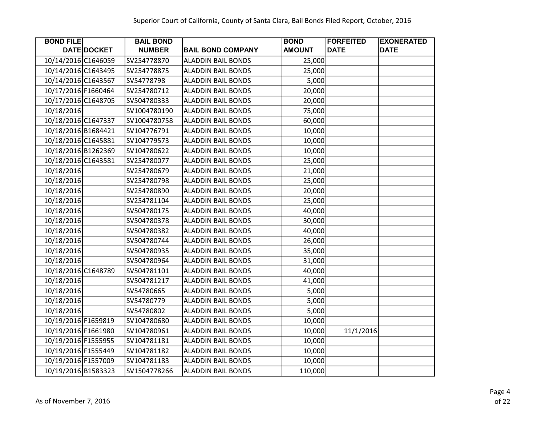| <b>BOND FILE</b>    |             | <b>BAIL BOND</b> |                           | <b>BOND</b>   | <b>FORFEITED</b> | <b>EXONERATED</b> |
|---------------------|-------------|------------------|---------------------------|---------------|------------------|-------------------|
|                     | DATE DOCKET | <b>NUMBER</b>    | <b>BAIL BOND COMPANY</b>  | <b>AMOUNT</b> | <b>DATE</b>      | <b>DATE</b>       |
| 10/14/2016 C1646059 |             | SV254778870      | <b>ALADDIN BAIL BONDS</b> | 25,000        |                  |                   |
| 10/14/2016 C1643495 |             | SV254778875      | <b>ALADDIN BAIL BONDS</b> | 25,000        |                  |                   |
| 10/14/2016 C1643567 |             | SV54778798       | <b>ALADDIN BAIL BONDS</b> | 5,000         |                  |                   |
| 10/17/2016 F1660464 |             | SV254780712      | <b>ALADDIN BAIL BONDS</b> | 20,000        |                  |                   |
| 10/17/2016 C1648705 |             | SV504780333      | <b>ALADDIN BAIL BONDS</b> | 20,000        |                  |                   |
| 10/18/2016          |             | SV1004780190     | <b>ALADDIN BAIL BONDS</b> | 75,000        |                  |                   |
| 10/18/2016 C1647337 |             | SV1004780758     | <b>ALADDIN BAIL BONDS</b> | 60,000        |                  |                   |
| 10/18/2016 B1684421 |             | SV104776791      | <b>ALADDIN BAIL BONDS</b> | 10,000        |                  |                   |
| 10/18/2016 C1645881 |             | SV104779573      | <b>ALADDIN BAIL BONDS</b> | 10,000        |                  |                   |
| 10/18/2016 B1262369 |             | SV104780622      | <b>ALADDIN BAIL BONDS</b> | 10,000        |                  |                   |
| 10/18/2016 C1643581 |             | SV254780077      | <b>ALADDIN BAIL BONDS</b> | 25,000        |                  |                   |
| 10/18/2016          |             | SV254780679      | <b>ALADDIN BAIL BONDS</b> | 21,000        |                  |                   |
| 10/18/2016          |             | SV254780798      | <b>ALADDIN BAIL BONDS</b> | 25,000        |                  |                   |
| 10/18/2016          |             | SV254780890      | <b>ALADDIN BAIL BONDS</b> | 20,000        |                  |                   |
| 10/18/2016          |             | SV254781104      | <b>ALADDIN BAIL BONDS</b> | 25,000        |                  |                   |
| 10/18/2016          |             | SV504780175      | <b>ALADDIN BAIL BONDS</b> | 40,000        |                  |                   |
| 10/18/2016          |             | SV504780378      | <b>ALADDIN BAIL BONDS</b> | 30,000        |                  |                   |
| 10/18/2016          |             | SV504780382      | <b>ALADDIN BAIL BONDS</b> | 40,000        |                  |                   |
| 10/18/2016          |             | SV504780744      | <b>ALADDIN BAIL BONDS</b> | 26,000        |                  |                   |
| 10/18/2016          |             | SV504780935      | <b>ALADDIN BAIL BONDS</b> | 35,000        |                  |                   |
| 10/18/2016          |             | SV504780964      | <b>ALADDIN BAIL BONDS</b> | 31,000        |                  |                   |
| 10/18/2016 C1648789 |             | SV504781101      | <b>ALADDIN BAIL BONDS</b> | 40,000        |                  |                   |
| 10/18/2016          |             | SV504781217      | <b>ALADDIN BAIL BONDS</b> | 41,000        |                  |                   |
| 10/18/2016          |             | SV54780665       | <b>ALADDIN BAIL BONDS</b> | 5,000         |                  |                   |
| 10/18/2016          |             | SV54780779       | <b>ALADDIN BAIL BONDS</b> | 5,000         |                  |                   |
| 10/18/2016          |             | SV54780802       | <b>ALADDIN BAIL BONDS</b> | 5,000         |                  |                   |
| 10/19/2016 F1659819 |             | SV104780680      | <b>ALADDIN BAIL BONDS</b> | 10,000        |                  |                   |
| 10/19/2016 F1661980 |             | SV104780961      | <b>ALADDIN BAIL BONDS</b> | 10,000        | 11/1/2016        |                   |
| 10/19/2016 F1555955 |             | SV104781181      | <b>ALADDIN BAIL BONDS</b> | 10,000        |                  |                   |
| 10/19/2016 F1555449 |             | SV104781182      | <b>ALADDIN BAIL BONDS</b> | 10,000        |                  |                   |
| 10/19/2016 F1557009 |             | SV104781183      | <b>ALADDIN BAIL BONDS</b> | 10,000        |                  |                   |
| 10/19/2016 B1583323 |             | SV1504778266     | <b>ALADDIN BAIL BONDS</b> | 110,000       |                  |                   |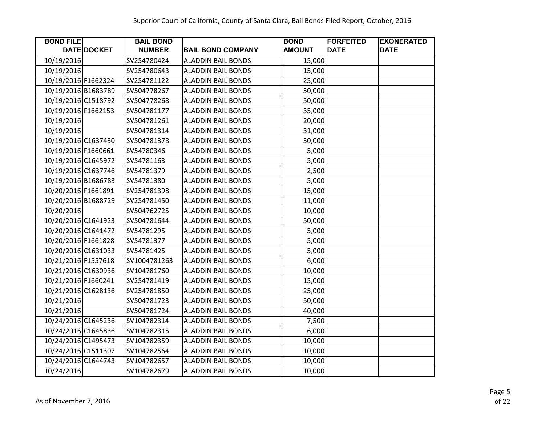| <b>BOND FILE</b>    |             | <b>BAIL BOND</b> |                           | <b>BOND</b>   | <b>FORFEITED</b> | <b>EXONERATED</b> |
|---------------------|-------------|------------------|---------------------------|---------------|------------------|-------------------|
|                     | DATE DOCKET | <b>NUMBER</b>    | <b>BAIL BOND COMPANY</b>  | <b>AMOUNT</b> | <b>DATE</b>      | <b>DATE</b>       |
| 10/19/2016          |             | SV254780424      | <b>ALADDIN BAIL BONDS</b> | 15,000        |                  |                   |
| 10/19/2016          |             | SV254780643      | <b>ALADDIN BAIL BONDS</b> | 15,000        |                  |                   |
| 10/19/2016 F1662324 |             | SV254781122      | <b>ALADDIN BAIL BONDS</b> | 25,000        |                  |                   |
| 10/19/2016 B1683789 |             | SV504778267      | <b>ALADDIN BAIL BONDS</b> | 50,000        |                  |                   |
| 10/19/2016 C1518792 |             | SV504778268      | <b>ALADDIN BAIL BONDS</b> | 50,000        |                  |                   |
| 10/19/2016 F1662153 |             | SV504781177      | <b>ALADDIN BAIL BONDS</b> | 35,000        |                  |                   |
| 10/19/2016          |             | SV504781261      | <b>ALADDIN BAIL BONDS</b> | 20,000        |                  |                   |
| 10/19/2016          |             | SV504781314      | <b>ALADDIN BAIL BONDS</b> | 31,000        |                  |                   |
| 10/19/2016 C1637430 |             | SV504781378      | <b>ALADDIN BAIL BONDS</b> | 30,000        |                  |                   |
| 10/19/2016 F1660661 |             | SV54780346       | <b>ALADDIN BAIL BONDS</b> | 5,000         |                  |                   |
| 10/19/2016 C1645972 |             | SV54781163       | <b>ALADDIN BAIL BONDS</b> | 5,000         |                  |                   |
| 10/19/2016 C1637746 |             | SV54781379       | <b>ALADDIN BAIL BONDS</b> | 2,500         |                  |                   |
| 10/19/2016 B1686783 |             | SV54781380       | <b>ALADDIN BAIL BONDS</b> | 5,000         |                  |                   |
| 10/20/2016 F1661891 |             | SV254781398      | <b>ALADDIN BAIL BONDS</b> | 15,000        |                  |                   |
| 10/20/2016 B1688729 |             | SV254781450      | <b>ALADDIN BAIL BONDS</b> | 11,000        |                  |                   |
| 10/20/2016          |             | SV504762725      | <b>ALADDIN BAIL BONDS</b> | 10,000        |                  |                   |
| 10/20/2016 C1641923 |             | SV504781644      | <b>ALADDIN BAIL BONDS</b> | 50,000        |                  |                   |
| 10/20/2016 C1641472 |             | SV54781295       | <b>ALADDIN BAIL BONDS</b> | 5,000         |                  |                   |
| 10/20/2016 F1661828 |             | SV54781377       | <b>ALADDIN BAIL BONDS</b> | 5,000         |                  |                   |
| 10/20/2016 C1631033 |             | SV54781425       | <b>ALADDIN BAIL BONDS</b> | 5,000         |                  |                   |
| 10/21/2016 F1557618 |             | SV1004781263     | <b>ALADDIN BAIL BONDS</b> | 6,000         |                  |                   |
| 10/21/2016 C1630936 |             | SV104781760      | <b>ALADDIN BAIL BONDS</b> | 10,000        |                  |                   |
| 10/21/2016 F1660241 |             | SV254781419      | <b>ALADDIN BAIL BONDS</b> | 15,000        |                  |                   |
| 10/21/2016 C1628136 |             | SV254781850      | <b>ALADDIN BAIL BONDS</b> | 25,000        |                  |                   |
| 10/21/2016          |             | SV504781723      | <b>ALADDIN BAIL BONDS</b> | 50,000        |                  |                   |
| 10/21/2016          |             | SV504781724      | <b>ALADDIN BAIL BONDS</b> | 40,000        |                  |                   |
| 10/24/2016 C1645236 |             | SV104782314      | <b>ALADDIN BAIL BONDS</b> | 7,500         |                  |                   |
| 10/24/2016 C1645836 |             | SV104782315      | <b>ALADDIN BAIL BONDS</b> | 6,000         |                  |                   |
| 10/24/2016 C1495473 |             | SV104782359      | <b>ALADDIN BAIL BONDS</b> | 10,000        |                  |                   |
| 10/24/2016 C1511307 |             | SV104782564      | <b>ALADDIN BAIL BONDS</b> | 10,000        |                  |                   |
| 10/24/2016 C1644743 |             | SV104782657      | <b>ALADDIN BAIL BONDS</b> | 10,000        |                  |                   |
| 10/24/2016          |             | SV104782679      | <b>ALADDIN BAIL BONDS</b> | 10,000        |                  |                   |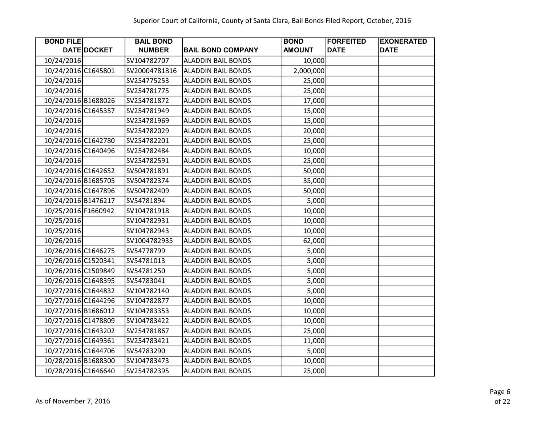| <b>BOND FILE</b>    |             | <b>BAIL BOND</b> |                           | <b>BOND</b>   | <b>FORFEITED</b> | <b>EXONERATED</b> |
|---------------------|-------------|------------------|---------------------------|---------------|------------------|-------------------|
|                     | DATE DOCKET | <b>NUMBER</b>    | <b>BAIL BOND COMPANY</b>  | <b>AMOUNT</b> | <b>DATE</b>      | <b>DATE</b>       |
| 10/24/2016          |             | SV104782707      | <b>ALADDIN BAIL BONDS</b> | 10,000        |                  |                   |
| 10/24/2016 C1645801 |             | SV20004781816    | <b>ALADDIN BAIL BONDS</b> | 2,000,000     |                  |                   |
| 10/24/2016          |             | SV254775253      | <b>ALADDIN BAIL BONDS</b> | 25,000        |                  |                   |
| 10/24/2016          |             | SV254781775      | <b>ALADDIN BAIL BONDS</b> | 25,000        |                  |                   |
| 10/24/2016 B1688026 |             | SV254781872      | <b>ALADDIN BAIL BONDS</b> | 17,000        |                  |                   |
| 10/24/2016 C1645357 |             | SV254781949      | <b>ALADDIN BAIL BONDS</b> | 15,000        |                  |                   |
| 10/24/2016          |             | SV254781969      | <b>ALADDIN BAIL BONDS</b> | 15,000        |                  |                   |
| 10/24/2016          |             | SV254782029      | <b>ALADDIN BAIL BONDS</b> | 20,000        |                  |                   |
| 10/24/2016 C1642780 |             | SV254782201      | <b>ALADDIN BAIL BONDS</b> | 25,000        |                  |                   |
| 10/24/2016 C1640496 |             | SV254782484      | <b>ALADDIN BAIL BONDS</b> | 10,000        |                  |                   |
| 10/24/2016          |             | SV254782591      | <b>ALADDIN BAIL BONDS</b> | 25,000        |                  |                   |
| 10/24/2016 C1642652 |             | SV504781891      | <b>ALADDIN BAIL BONDS</b> | 50,000        |                  |                   |
| 10/24/2016 B1685705 |             | SV504782374      | <b>ALADDIN BAIL BONDS</b> | 35,000        |                  |                   |
| 10/24/2016 C1647896 |             | SV504782409      | <b>ALADDIN BAIL BONDS</b> | 50,000        |                  |                   |
| 10/24/2016 B1476217 |             | SV54781894       | <b>ALADDIN BAIL BONDS</b> | 5,000         |                  |                   |
| 10/25/2016 F1660942 |             | SV104781918      | <b>ALADDIN BAIL BONDS</b> | 10,000        |                  |                   |
| 10/25/2016          |             | SV104782931      | <b>ALADDIN BAIL BONDS</b> | 10,000        |                  |                   |
| 10/25/2016          |             | SV104782943      | <b>ALADDIN BAIL BONDS</b> | 10,000        |                  |                   |
| 10/26/2016          |             | SV1004782935     | <b>ALADDIN BAIL BONDS</b> | 62,000        |                  |                   |
| 10/26/2016 C1646275 |             | SV54778799       | <b>ALADDIN BAIL BONDS</b> | 5,000         |                  |                   |
| 10/26/2016 C1520341 |             | SV54781013       | <b>ALADDIN BAIL BONDS</b> | 5,000         |                  |                   |
| 10/26/2016 C1509849 |             | SV54781250       | <b>ALADDIN BAIL BONDS</b> | 5,000         |                  |                   |
| 10/26/2016 C1648395 |             | SV54783041       | <b>ALADDIN BAIL BONDS</b> | 5,000         |                  |                   |
| 10/27/2016 C1644832 |             | SV104782140      | <b>ALADDIN BAIL BONDS</b> | 5,000         |                  |                   |
| 10/27/2016 C1644296 |             | SV104782877      | <b>ALADDIN BAIL BONDS</b> | 10,000        |                  |                   |
| 10/27/2016 B1686012 |             | SV104783353      | <b>ALADDIN BAIL BONDS</b> | 10,000        |                  |                   |
| 10/27/2016 C1478809 |             | SV104783422      | <b>ALADDIN BAIL BONDS</b> | 10,000        |                  |                   |
| 10/27/2016 C1643202 |             | SV254781867      | <b>ALADDIN BAIL BONDS</b> | 25,000        |                  |                   |
| 10/27/2016 C1649361 |             | SV254783421      | <b>ALADDIN BAIL BONDS</b> | 11,000        |                  |                   |
| 10/27/2016 C1644706 |             | SV54783290       | <b>ALADDIN BAIL BONDS</b> | 5,000         |                  |                   |
| 10/28/2016 B1688300 |             | SV104783473      | <b>ALADDIN BAIL BONDS</b> | 10,000        |                  |                   |
| 10/28/2016 C1646640 |             | SV254782395      | <b>ALADDIN BAIL BONDS</b> | 25,000        |                  |                   |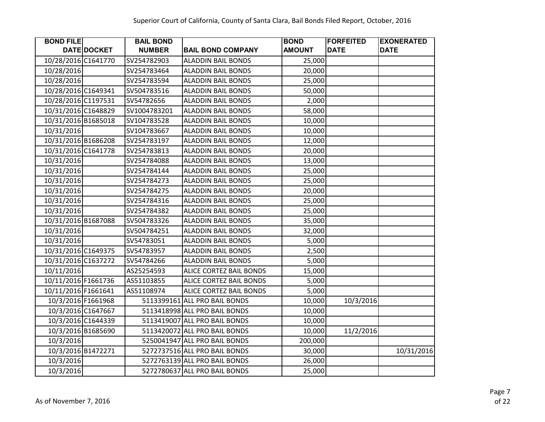| <b>BOND FILE</b>    |                    | <b>BAIL BOND</b> |                               | <b>BOND</b>   | <b>FORFEITED</b> | <b>EXONERATED</b> |
|---------------------|--------------------|------------------|-------------------------------|---------------|------------------|-------------------|
|                     | DATE DOCKET        | <b>NUMBER</b>    | <b>BAIL BOND COMPANY</b>      | <b>AMOUNT</b> | <b>DATE</b>      | <b>DATE</b>       |
| 10/28/2016 C1641770 |                    | SV254782903      | <b>ALADDIN BAIL BONDS</b>     | 25,000        |                  |                   |
| 10/28/2016          |                    | SV254783464      | <b>ALADDIN BAIL BONDS</b>     | 20,000        |                  |                   |
| 10/28/2016          |                    | SV254783594      | <b>ALADDIN BAIL BONDS</b>     | 25,000        |                  |                   |
| 10/28/2016 C1649341 |                    | SV504783516      | <b>ALADDIN BAIL BONDS</b>     | 50,000        |                  |                   |
| 10/28/2016 C1197531 |                    | SV54782656       | <b>ALADDIN BAIL BONDS</b>     | 2,000         |                  |                   |
| 10/31/2016 C1648829 |                    | SV1004783201     | <b>ALADDIN BAIL BONDS</b>     | 58,000        |                  |                   |
| 10/31/2016 B1685018 |                    | SV104783528      | <b>ALADDIN BAIL BONDS</b>     | 10,000        |                  |                   |
| 10/31/2016          |                    | SV104783667      | <b>ALADDIN BAIL BONDS</b>     | 10,000        |                  |                   |
| 10/31/2016 B1686208 |                    | SV254783197      | <b>ALADDIN BAIL BONDS</b>     | 12,000        |                  |                   |
| 10/31/2016 C1641778 |                    | SV254783813      | <b>ALADDIN BAIL BONDS</b>     | 20,000        |                  |                   |
| 10/31/2016          |                    | SV254784088      | <b>ALADDIN BAIL BONDS</b>     | 13,000        |                  |                   |
| 10/31/2016          |                    | SV254784144      | <b>ALADDIN BAIL BONDS</b>     | 25,000        |                  |                   |
| 10/31/2016          |                    | SV254784273      | <b>ALADDIN BAIL BONDS</b>     | 25,000        |                  |                   |
| 10/31/2016          |                    | SV254784275      | <b>ALADDIN BAIL BONDS</b>     | 20,000        |                  |                   |
| 10/31/2016          |                    | SV254784316      | <b>ALADDIN BAIL BONDS</b>     | 25,000        |                  |                   |
| 10/31/2016          |                    | SV254784382      | <b>ALADDIN BAIL BONDS</b>     | 25,000        |                  |                   |
| 10/31/2016 B1687088 |                    | SV504783326      | <b>ALADDIN BAIL BONDS</b>     | 35,000        |                  |                   |
| 10/31/2016          |                    | SV504784251      | <b>ALADDIN BAIL BONDS</b>     | 32,000        |                  |                   |
| 10/31/2016          |                    | SV54783051       | <b>ALADDIN BAIL BONDS</b>     | 5,000         |                  |                   |
| 10/31/2016 C1649375 |                    | SV54783957       | <b>ALADDIN BAIL BONDS</b>     | 2,500         |                  |                   |
| 10/31/2016 C1637272 |                    | SV54784266       | <b>ALADDIN BAIL BONDS</b>     | 5,000         |                  |                   |
| 10/11/2016          |                    | AS25254593       | ALICE CORTEZ BAIL BONDS       | 15,000        |                  |                   |
| 10/11/2016 F1661736 |                    | AS51103855       | ALICE CORTEZ BAIL BONDS       | 5,000         |                  |                   |
| 10/11/2016 F1661641 |                    | AS51108974       | ALICE CORTEZ BAIL BONDS       | 5,000         |                  |                   |
|                     | 10/3/2016 F1661968 |                  | 5113399161 ALL PRO BAIL BONDS | 10,000        | 10/3/2016        |                   |
|                     | 10/3/2016 C1647667 |                  | 5113418998 ALL PRO BAIL BONDS | 10,000        |                  |                   |
|                     | 10/3/2016 C1644339 |                  | 5113419007 ALL PRO BAIL BONDS | 10,000        |                  |                   |
|                     | 10/3/2016 B1685690 |                  | 5113420072 ALL PRO BAIL BONDS | 10,000        | 11/2/2016        |                   |
| 10/3/2016           |                    |                  | 5250041947 ALL PRO BAIL BONDS | 200,000       |                  |                   |
|                     | 10/3/2016 B1472271 |                  | 5272737516 ALL PRO BAIL BONDS | 30,000        |                  | 10/31/2016        |
| 10/3/2016           |                    |                  | 5272763139 ALL PRO BAIL BONDS | 26,000        |                  |                   |
| 10/3/2016           |                    |                  | 5272780637 ALL PRO BAIL BONDS | 25,000        |                  |                   |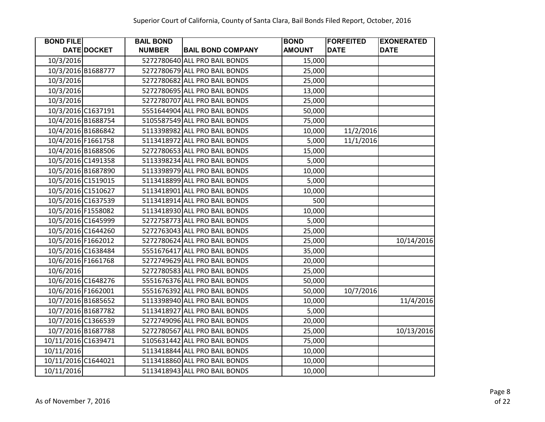| <b>BOND FILE</b>    |                    | <b>BAIL BOND</b> |                               | <b>BOND</b>   | <b>FORFEITED</b> | <b>EXONERATED</b> |
|---------------------|--------------------|------------------|-------------------------------|---------------|------------------|-------------------|
|                     | DATE DOCKET        | <b>NUMBER</b>    | <b>BAIL BOND COMPANY</b>      | <b>AMOUNT</b> | <b>DATE</b>      | <b>DATE</b>       |
| 10/3/2016           |                    |                  | 5272780640 ALL PRO BAIL BONDS | 15,000        |                  |                   |
|                     | 10/3/2016 B1688777 |                  | 5272780679 ALL PRO BAIL BONDS | 25,000        |                  |                   |
| 10/3/2016           |                    |                  | 5272780682 ALL PRO BAIL BONDS | 25,000        |                  |                   |
| 10/3/2016           |                    |                  | 5272780695 ALL PRO BAIL BONDS | 13,000        |                  |                   |
| 10/3/2016           |                    |                  | 5272780707 ALL PRO BAIL BONDS | 25,000        |                  |                   |
|                     | 10/3/2016 C1637191 |                  | 5551644904 ALL PRO BAIL BONDS | 50,000        |                  |                   |
|                     | 10/4/2016 B1688754 |                  | 5105587549 ALL PRO BAIL BONDS | 75,000        |                  |                   |
|                     | 10/4/2016 B1686842 |                  | 5113398982 ALL PRO BAIL BONDS | 10,000        | 11/2/2016        |                   |
| 10/4/2016 F1661758  |                    |                  | 5113418972 ALL PRO BAIL BONDS | 5,000         | 11/1/2016        |                   |
|                     | 10/4/2016 B1688506 |                  | 5272780653 ALL PRO BAIL BONDS | 15,000        |                  |                   |
|                     | 10/5/2016 C1491358 |                  | 5113398234 ALL PRO BAIL BONDS | 5,000         |                  |                   |
|                     | 10/5/2016 B1687890 |                  | 5113398979 ALL PRO BAIL BONDS | 10,000        |                  |                   |
|                     | 10/5/2016 C1519015 |                  | 5113418899 ALL PRO BAIL BONDS | 5,000         |                  |                   |
|                     | 10/5/2016 C1510627 |                  | 5113418901 ALL PRO BAIL BONDS | 10,000        |                  |                   |
|                     | 10/5/2016 C1637539 |                  | 5113418914 ALL PRO BAIL BONDS | 500           |                  |                   |
|                     | 10/5/2016 F1558082 |                  | 5113418930 ALL PRO BAIL BONDS | 10,000        |                  |                   |
|                     | 10/5/2016 C1645999 |                  | 5272758773 ALL PRO BAIL BONDS | 5,000         |                  |                   |
|                     | 10/5/2016 C1644260 |                  | 5272763043 ALL PRO BAIL BONDS | 25,000        |                  |                   |
|                     | 10/5/2016 F1662012 |                  | 5272780624 ALL PRO BAIL BONDS | 25,000        |                  | 10/14/2016        |
|                     | 10/5/2016 C1638484 |                  | 5551676417 ALL PRO BAIL BONDS | 35,000        |                  |                   |
|                     | 10/6/2016 F1661768 |                  | 5272749629 ALL PRO BAIL BONDS | 20,000        |                  |                   |
| 10/6/2016           |                    |                  | 5272780583 ALL PRO BAIL BONDS | 25,000        |                  |                   |
|                     | 10/6/2016 C1648276 |                  | 5551676376 ALL PRO BAIL BONDS | 50,000        |                  |                   |
|                     | 10/6/2016 F1662001 |                  | 5551676392 ALL PRO BAIL BONDS | 50,000        | 10/7/2016        |                   |
|                     | 10/7/2016 B1685652 |                  | 5113398940 ALL PRO BAIL BONDS | 10,000        |                  | 11/4/2016         |
|                     | 10/7/2016 B1687782 |                  | 5113418927 ALL PRO BAIL BONDS | 5,000         |                  |                   |
|                     | 10/7/2016 C1366539 |                  | 5272749096 ALL PRO BAIL BONDS | 20,000        |                  |                   |
|                     | 10/7/2016 B1687788 |                  | 5272780567 ALL PRO BAIL BONDS | 25,000        |                  | 10/13/2016        |
| 10/11/2016 C1639471 |                    |                  | 5105631442 ALL PRO BAIL BONDS | 75,000        |                  |                   |
| 10/11/2016          |                    |                  | 5113418844 ALL PRO BAIL BONDS | 10,000        |                  |                   |
| 10/11/2016 C1644021 |                    |                  | 5113418860 ALL PRO BAIL BONDS | 10,000        |                  |                   |
| 10/11/2016          |                    |                  | 5113418943 ALL PRO BAIL BONDS | 10,000        |                  |                   |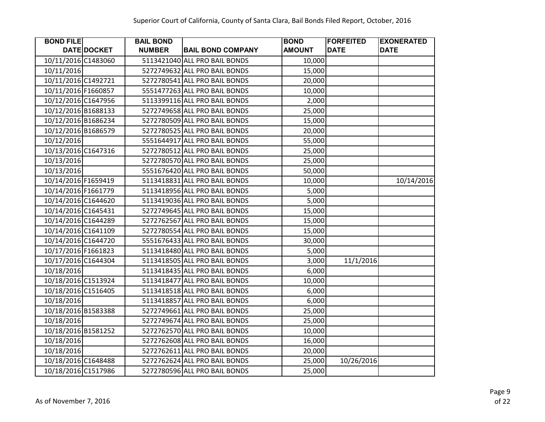| <b>BOND FILE</b>    |             | <b>BAIL BOND</b> |                               | <b>BOND</b>   | <b>FORFEITED</b> | <b>EXONERATED</b> |
|---------------------|-------------|------------------|-------------------------------|---------------|------------------|-------------------|
|                     | DATE DOCKET | <b>NUMBER</b>    | <b>BAIL BOND COMPANY</b>      | <b>AMOUNT</b> | <b>DATE</b>      | <b>DATE</b>       |
| 10/11/2016 C1483060 |             |                  | 5113421040 ALL PRO BAIL BONDS | 10,000        |                  |                   |
| 10/11/2016          |             |                  | 5272749632 ALL PRO BAIL BONDS | 15,000        |                  |                   |
| 10/11/2016 C1492721 |             |                  | 5272780541 ALL PRO BAIL BONDS | 20,000        |                  |                   |
| 10/11/2016 F1660857 |             |                  | 5551477263 ALL PRO BAIL BONDS | 10,000        |                  |                   |
| 10/12/2016 C1647956 |             |                  | 5113399116 ALL PRO BAIL BONDS | 2,000         |                  |                   |
| 10/12/2016 B1688133 |             |                  | 5272749658 ALL PRO BAIL BONDS | 25,000        |                  |                   |
| 10/12/2016 B1686234 |             |                  | 5272780509 ALL PRO BAIL BONDS | 15,000        |                  |                   |
| 10/12/2016 B1686579 |             |                  | 5272780525 ALL PRO BAIL BONDS | 20,000        |                  |                   |
| 10/12/2016          |             |                  | 5551644917 ALL PRO BAIL BONDS | 55,000        |                  |                   |
| 10/13/2016 C1647316 |             |                  | 5272780512 ALL PRO BAIL BONDS | 25,000        |                  |                   |
| 10/13/2016          |             |                  | 5272780570 ALL PRO BAIL BONDS | 25,000        |                  |                   |
| 10/13/2016          |             |                  | 5551676420 ALL PRO BAIL BONDS | 50,000        |                  |                   |
| 10/14/2016 F1659419 |             |                  | 5113418831 ALL PRO BAIL BONDS | 10,000        |                  | 10/14/2016        |
| 10/14/2016 F1661779 |             |                  | 5113418956 ALL PRO BAIL BONDS | 5,000         |                  |                   |
| 10/14/2016 C1644620 |             |                  | 5113419036 ALL PRO BAIL BONDS | 5,000         |                  |                   |
| 10/14/2016 C1645431 |             |                  | 5272749645 ALL PRO BAIL BONDS | 15,000        |                  |                   |
| 10/14/2016 C1644289 |             |                  | 5272762567 ALL PRO BAIL BONDS | 15,000        |                  |                   |
| 10/14/2016 C1641109 |             |                  | 5272780554 ALL PRO BAIL BONDS | 15,000        |                  |                   |
| 10/14/2016 C1644720 |             |                  | 5551676433 ALL PRO BAIL BONDS | 30,000        |                  |                   |
| 10/17/2016 F1661823 |             |                  | 5113418480 ALL PRO BAIL BONDS | 5,000         |                  |                   |
| 10/17/2016 C1644304 |             |                  | 5113418505 ALL PRO BAIL BONDS | 3,000         | 11/1/2016        |                   |
| 10/18/2016          |             |                  | 5113418435 ALL PRO BAIL BONDS | 6,000         |                  |                   |
| 10/18/2016 C1513924 |             |                  | 5113418477 ALL PRO BAIL BONDS | 10,000        |                  |                   |
| 10/18/2016 C1516405 |             |                  | 5113418518 ALL PRO BAIL BONDS | 6,000         |                  |                   |
| 10/18/2016          |             |                  | 5113418857 ALL PRO BAIL BONDS | 6,000         |                  |                   |
| 10/18/2016 B1583388 |             |                  | 5272749661 ALL PRO BAIL BONDS | 25,000        |                  |                   |
| 10/18/2016          |             |                  | 5272749674 ALL PRO BAIL BONDS | 25,000        |                  |                   |
| 10/18/2016 B1581252 |             |                  | 5272762570 ALL PRO BAIL BONDS | 10,000        |                  |                   |
| 10/18/2016          |             |                  | 5272762608 ALL PRO BAIL BONDS | 16,000        |                  |                   |
| 10/18/2016          |             |                  | 5272762611 ALL PRO BAIL BONDS | 20,000        |                  |                   |
| 10/18/2016 C1648488 |             |                  | 5272762624 ALL PRO BAIL BONDS | 25,000        | 10/26/2016       |                   |
| 10/18/2016 C1517986 |             |                  | 5272780596 ALL PRO BAIL BONDS | 25,000        |                  |                   |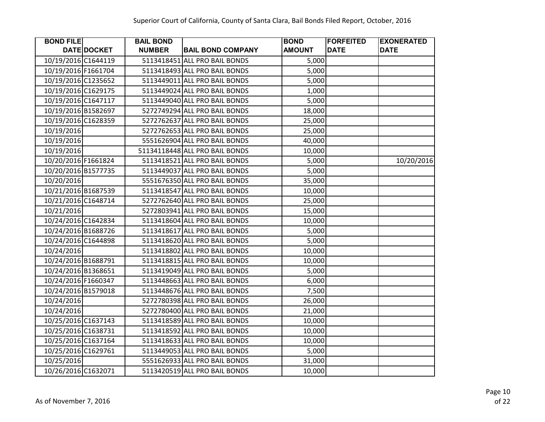| <b>BOND FILE</b>    |             | <b>BAIL BOND</b> |                                | <b>BOND</b>   | <b>FORFEITED</b> | <b>EXONERATED</b> |
|---------------------|-------------|------------------|--------------------------------|---------------|------------------|-------------------|
|                     | DATE DOCKET | <b>NUMBER</b>    | <b>BAIL BOND COMPANY</b>       | <b>AMOUNT</b> | <b>DATE</b>      | <b>DATE</b>       |
| 10/19/2016 C1644119 |             |                  | 5113418451 ALL PRO BAIL BONDS  | 5,000         |                  |                   |
| 10/19/2016 F1661704 |             |                  | 5113418493 ALL PRO BAIL BONDS  | 5,000         |                  |                   |
| 10/19/2016 C1235652 |             |                  | 5113449011 ALL PRO BAIL BONDS  | 5,000         |                  |                   |
| 10/19/2016 C1629175 |             |                  | 5113449024 ALL PRO BAIL BONDS  | 1,000         |                  |                   |
| 10/19/2016 C1647117 |             |                  | 5113449040 ALL PRO BAIL BONDS  | 5,000         |                  |                   |
| 10/19/2016 B1582697 |             |                  | 5272749294 ALL PRO BAIL BONDS  | 18,000        |                  |                   |
| 10/19/2016 C1628359 |             |                  | 5272762637 ALL PRO BAIL BONDS  | 25,000        |                  |                   |
| 10/19/2016          |             |                  | 5272762653 ALL PRO BAIL BONDS  | 25,000        |                  |                   |
| 10/19/2016          |             |                  | 5551626904 ALL PRO BAIL BONDS  | 40,000        |                  |                   |
| 10/19/2016          |             |                  | 51134118448 ALL PRO BAIL BONDS | 10,000        |                  |                   |
| 10/20/2016 F1661824 |             |                  | 5113418521 ALL PRO BAIL BONDS  | 5,000         |                  | 10/20/2016        |
| 10/20/2016 B1577735 |             |                  | 5113449037 ALL PRO BAIL BONDS  | 5,000         |                  |                   |
| 10/20/2016          |             |                  | 5551676350 ALL PRO BAIL BONDS  | 35,000        |                  |                   |
| 10/21/2016 B1687539 |             |                  | 5113418547 ALL PRO BAIL BONDS  | 10,000        |                  |                   |
| 10/21/2016 C1648714 |             |                  | 5272762640 ALL PRO BAIL BONDS  | 25,000        |                  |                   |
| 10/21/2016          |             |                  | 5272803941 ALL PRO BAIL BONDS  | 15,000        |                  |                   |
| 10/24/2016 C1642834 |             |                  | 5113418604 ALL PRO BAIL BONDS  | 10,000        |                  |                   |
| 10/24/2016 B1688726 |             |                  | 5113418617 ALL PRO BAIL BONDS  | 5,000         |                  |                   |
| 10/24/2016 C1644898 |             |                  | 5113418620 ALL PRO BAIL BONDS  | 5,000         |                  |                   |
| 10/24/2016          |             |                  | 5113418802 ALL PRO BAIL BONDS  | 10,000        |                  |                   |
| 10/24/2016 B1688791 |             |                  | 5113418815 ALL PRO BAIL BONDS  | 10,000        |                  |                   |
| 10/24/2016 B1368651 |             |                  | 5113419049 ALL PRO BAIL BONDS  | 5,000         |                  |                   |
| 10/24/2016 F1660347 |             |                  | 5113448663 ALL PRO BAIL BONDS  | 6,000         |                  |                   |
| 10/24/2016 B1579018 |             |                  | 5113448676 ALL PRO BAIL BONDS  | 7,500         |                  |                   |
| 10/24/2016          |             |                  | 5272780398 ALL PRO BAIL BONDS  | 26,000        |                  |                   |
| 10/24/2016          |             |                  | 5272780400 ALL PRO BAIL BONDS  | 21,000        |                  |                   |
| 10/25/2016 C1637143 |             |                  | 5113418589 ALL PRO BAIL BONDS  | 10,000        |                  |                   |
| 10/25/2016 C1638731 |             |                  | 5113418592 ALL PRO BAIL BONDS  | 10,000        |                  |                   |
| 10/25/2016 C1637164 |             |                  | 5113418633 ALL PRO BAIL BONDS  | 10,000        |                  |                   |
| 10/25/2016 C1629761 |             |                  | 5113449053 ALL PRO BAIL BONDS  | 5,000         |                  |                   |
| 10/25/2016          |             |                  | 5551626933 ALL PRO BAIL BONDS  | 31,000        |                  |                   |
| 10/26/2016 C1632071 |             |                  | 5113420519 ALL PRO BAIL BONDS  | 10,000        |                  |                   |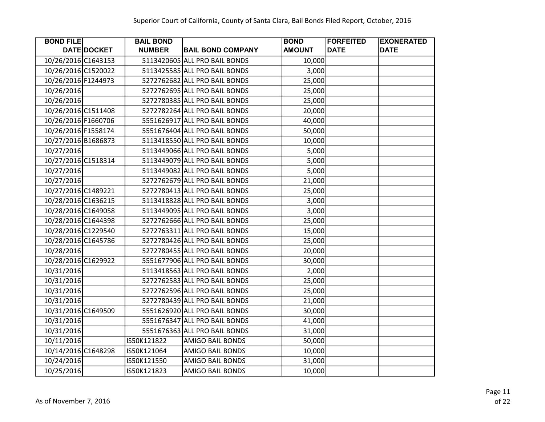| <b>BOND FILE</b>    |             | <b>BAIL BOND</b> |                               | <b>BOND</b>   | <b>FORFEITED</b> | <b>EXONERATED</b> |
|---------------------|-------------|------------------|-------------------------------|---------------|------------------|-------------------|
|                     | DATE DOCKET | <b>NUMBER</b>    | <b>BAIL BOND COMPANY</b>      | <b>AMOUNT</b> | <b>DATE</b>      | <b>DATE</b>       |
| 10/26/2016 C1643153 |             |                  | 5113420605 ALL PRO BAIL BONDS | 10,000        |                  |                   |
| 10/26/2016 C1520022 |             |                  | 5113425585 ALL PRO BAIL BONDS | 3,000         |                  |                   |
| 10/26/2016 F1244973 |             |                  | 5272762682 ALL PRO BAIL BONDS | 25,000        |                  |                   |
| 10/26/2016          |             |                  | 5272762695 ALL PRO BAIL BONDS | 25,000        |                  |                   |
| 10/26/2016          |             |                  | 5272780385 ALL PRO BAIL BONDS | 25,000        |                  |                   |
| 10/26/2016 C1511408 |             |                  | 5272782264 ALL PRO BAIL BONDS | 20,000        |                  |                   |
| 10/26/2016 F1660706 |             |                  | 5551626917 ALL PRO BAIL BONDS | 40,000        |                  |                   |
| 10/26/2016 F1558174 |             |                  | 5551676404 ALL PRO BAIL BONDS | 50,000        |                  |                   |
| 10/27/2016 B1686873 |             |                  | 5113418550 ALL PRO BAIL BONDS | 10,000        |                  |                   |
| 10/27/2016          |             |                  | 5113449066 ALL PRO BAIL BONDS | 5,000         |                  |                   |
| 10/27/2016 C1518314 |             |                  | 5113449079 ALL PRO BAIL BONDS | 5,000         |                  |                   |
| 10/27/2016          |             |                  | 5113449082 ALL PRO BAIL BONDS | 5,000         |                  |                   |
| 10/27/2016          |             |                  | 5272762679 ALL PRO BAIL BONDS | 21,000        |                  |                   |
| 10/27/2016 C1489221 |             |                  | 5272780413 ALL PRO BAIL BONDS | 25,000        |                  |                   |
| 10/28/2016 C1636215 |             |                  | 5113418828 ALL PRO BAIL BONDS | 3,000         |                  |                   |
| 10/28/2016 C1649058 |             |                  | 5113449095 ALL PRO BAIL BONDS | 3,000         |                  |                   |
| 10/28/2016 C1644398 |             |                  | 5272762666 ALL PRO BAIL BONDS | 25,000        |                  |                   |
| 10/28/2016 C1229540 |             |                  | 5272763311 ALL PRO BAIL BONDS | 15,000        |                  |                   |
| 10/28/2016 C1645786 |             |                  | 5272780426 ALL PRO BAIL BONDS | 25,000        |                  |                   |
| 10/28/2016          |             |                  | 5272780455 ALL PRO BAIL BONDS | 20,000        |                  |                   |
| 10/28/2016 C1629922 |             |                  | 5551677906 ALL PRO BAIL BONDS | 30,000        |                  |                   |
| 10/31/2016          |             |                  | 5113418563 ALL PRO BAIL BONDS | 2,000         |                  |                   |
| 10/31/2016          |             |                  | 5272762583 ALL PRO BAIL BONDS | 25,000        |                  |                   |
| 10/31/2016          |             |                  | 5272762596 ALL PRO BAIL BONDS | 25,000        |                  |                   |
| 10/31/2016          |             |                  | 5272780439 ALL PRO BAIL BONDS | 21,000        |                  |                   |
| 10/31/2016 C1649509 |             |                  | 5551626920 ALL PRO BAIL BONDS | 30,000        |                  |                   |
| 10/31/2016          |             |                  | 5551676347 ALL PRO BAIL BONDS | 41,000        |                  |                   |
| 10/31/2016          |             |                  | 5551676363 ALL PRO BAIL BONDS | 31,000        |                  |                   |
| 10/11/2016          |             | IS50K121822      | <b>AMIGO BAIL BONDS</b>       | 50,000        |                  |                   |
| 10/14/2016 C1648298 |             | IS50K121064      | <b>AMIGO BAIL BONDS</b>       | 10,000        |                  |                   |
| 10/24/2016          |             | IS50K121550      | AMIGO BAIL BONDS              | 31,000        |                  |                   |
| 10/25/2016          |             | IS50K121823      | <b>AMIGO BAIL BONDS</b>       | 10,000        |                  |                   |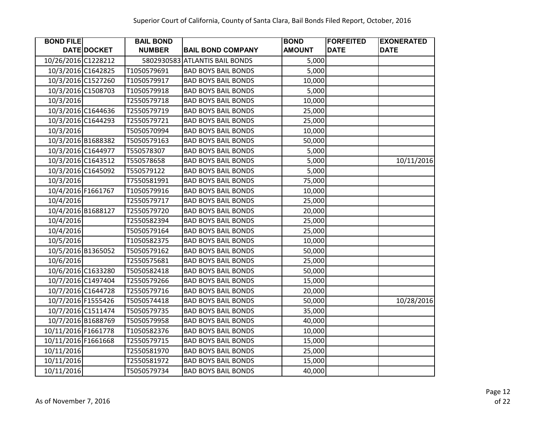| <b>BOND FILE</b>    |                    | <b>BAIL BOND</b> |                                | <b>BOND</b>   | <b>FORFEITED</b> | <b>EXONERATED</b> |
|---------------------|--------------------|------------------|--------------------------------|---------------|------------------|-------------------|
|                     | DATE DOCKET        | <b>NUMBER</b>    | <b>BAIL BOND COMPANY</b>       | <b>AMOUNT</b> | <b>DATE</b>      | <b>DATE</b>       |
| 10/26/2016 C1228212 |                    |                  | 5802930583 ATLANTIS BAIL BONDS | 5,000         |                  |                   |
| 10/3/2016 C1642825  |                    | T1050579691      | <b>BAD BOYS BAIL BONDS</b>     | 5,000         |                  |                   |
| 10/3/2016 C1527260  |                    | T1050579917      | <b>BAD BOYS BAIL BONDS</b>     | 10,000        |                  |                   |
| 10/3/2016 C1508703  |                    | T1050579918      | <b>BAD BOYS BAIL BONDS</b>     | 5,000         |                  |                   |
| 10/3/2016           |                    | T2550579718      | <b>BAD BOYS BAIL BONDS</b>     | 10,000        |                  |                   |
| 10/3/2016 C1644636  |                    | T2550579719      | <b>BAD BOYS BAIL BONDS</b>     | 25,000        |                  |                   |
|                     | 10/3/2016 C1644293 | T2550579721      | <b>BAD BOYS BAIL BONDS</b>     | 25,000        |                  |                   |
| 10/3/2016           |                    | T5050570994      | <b>BAD BOYS BAIL BONDS</b>     | 10,000        |                  |                   |
| 10/3/2016 B1688382  |                    | T5050579163      | <b>BAD BOYS BAIL BONDS</b>     | 50,000        |                  |                   |
| 10/3/2016 C1644977  |                    | T550578307       | <b>BAD BOYS BAIL BONDS</b>     | 5,000         |                  |                   |
| 10/3/2016 C1643512  |                    | T550578658       | <b>BAD BOYS BAIL BONDS</b>     | 5,000         |                  | 10/11/2016        |
| 10/3/2016 C1645092  |                    | T550579122       | <b>BAD BOYS BAIL BONDS</b>     | 5,000         |                  |                   |
| 10/3/2016           |                    | T7550581991      | <b>BAD BOYS BAIL BONDS</b>     | 75,000        |                  |                   |
| 10/4/2016 F1661767  |                    | T1050579916      | <b>BAD BOYS BAIL BONDS</b>     | 10,000        |                  |                   |
| 10/4/2016           |                    | T2550579717      | <b>BAD BOYS BAIL BONDS</b>     | 25,000        |                  |                   |
| 10/4/2016 B1688127  |                    | T2550579720      | <b>BAD BOYS BAIL BONDS</b>     | 20,000        |                  |                   |
| 10/4/2016           |                    | T2550582394      | <b>BAD BOYS BAIL BONDS</b>     | 25,000        |                  |                   |
| 10/4/2016           |                    | T5050579164      | <b>BAD BOYS BAIL BONDS</b>     | 25,000        |                  |                   |
| 10/5/2016           |                    | T1050582375      | <b>BAD BOYS BAIL BONDS</b>     | 10,000        |                  |                   |
| 10/5/2016 B1365052  |                    | T5050579162      | <b>BAD BOYS BAIL BONDS</b>     | 50,000        |                  |                   |
| 10/6/2016           |                    | T2550575681      | <b>BAD BOYS BAIL BONDS</b>     | 25,000        |                  |                   |
| 10/6/2016 C1633280  |                    | T5050582418      | <b>BAD BOYS BAIL BONDS</b>     | 50,000        |                  |                   |
| 10/7/2016 C1497404  |                    | T2550579266      | <b>BAD BOYS BAIL BONDS</b>     | 15,000        |                  |                   |
| 10/7/2016 C1644728  |                    | T2550579716      | <b>BAD BOYS BAIL BONDS</b>     | 20,000        |                  |                   |
| 10/7/2016 F1555426  |                    | T5050574418      | <b>BAD BOYS BAIL BONDS</b>     | 50,000        |                  | 10/28/2016        |
| 10/7/2016 C1511474  |                    | T5050579735      | <b>BAD BOYS BAIL BONDS</b>     | 35,000        |                  |                   |
|                     | 10/7/2016 B1688769 | T5050579958      | <b>BAD BOYS BAIL BONDS</b>     | 40,000        |                  |                   |
| 10/11/2016 F1661778 |                    | T1050582376      | <b>BAD BOYS BAIL BONDS</b>     | 10,000        |                  |                   |
| 10/11/2016 F1661668 |                    | T2550579715      | <b>BAD BOYS BAIL BONDS</b>     | 15,000        |                  |                   |
| 10/11/2016          |                    | T2550581970      | <b>BAD BOYS BAIL BONDS</b>     | 25,000        |                  |                   |
| 10/11/2016          |                    | T2550581972      | <b>BAD BOYS BAIL BONDS</b>     | 15,000        |                  |                   |
| 10/11/2016          |                    | T5050579734      | <b>BAD BOYS BAIL BONDS</b>     | 40,000        |                  |                   |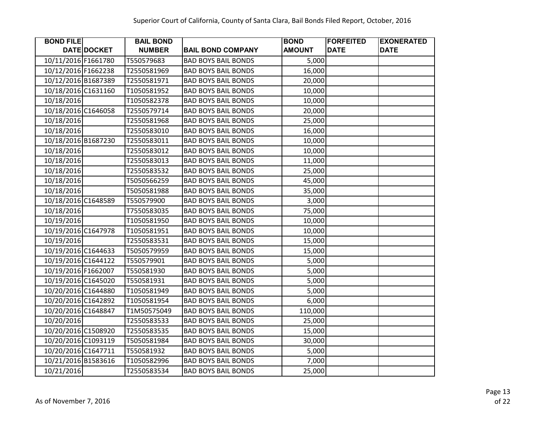| <b>BOND FILE</b>    |             | <b>BAIL BOND</b> |                            | <b>BOND</b>   | <b>FORFEITED</b> | <b>EXONERATED</b> |
|---------------------|-------------|------------------|----------------------------|---------------|------------------|-------------------|
|                     | DATE DOCKET | <b>NUMBER</b>    | <b>BAIL BOND COMPANY</b>   | <b>AMOUNT</b> | <b>DATE</b>      | <b>DATE</b>       |
| 10/11/2016 F1661780 |             | T550579683       | <b>BAD BOYS BAIL BONDS</b> | 5,000         |                  |                   |
| 10/12/2016 F1662238 |             | T2550581969      | <b>BAD BOYS BAIL BONDS</b> | 16,000        |                  |                   |
| 10/12/2016 B1687389 |             | T2550581971      | <b>BAD BOYS BAIL BONDS</b> | 20,000        |                  |                   |
| 10/18/2016 C1631160 |             | T1050581952      | <b>BAD BOYS BAIL BONDS</b> | 10,000        |                  |                   |
| 10/18/2016          |             | T1050582378      | <b>BAD BOYS BAIL BONDS</b> | 10,000        |                  |                   |
| 10/18/2016 C1646058 |             | T2550579714      | <b>BAD BOYS BAIL BONDS</b> | 20,000        |                  |                   |
| 10/18/2016          |             | T2550581968      | <b>BAD BOYS BAIL BONDS</b> | 25,000        |                  |                   |
| 10/18/2016          |             | T2550583010      | <b>BAD BOYS BAIL BONDS</b> | 16,000        |                  |                   |
| 10/18/2016 B1687230 |             | T2550583011      | <b>BAD BOYS BAIL BONDS</b> | 10,000        |                  |                   |
| 10/18/2016          |             | T2550583012      | <b>BAD BOYS BAIL BONDS</b> | 10,000        |                  |                   |
| 10/18/2016          |             | T2550583013      | <b>BAD BOYS BAIL BONDS</b> | 11,000        |                  |                   |
| 10/18/2016          |             | T2550583532      | <b>BAD BOYS BAIL BONDS</b> | 25,000        |                  |                   |
| 10/18/2016          |             | T5050566259      | <b>BAD BOYS BAIL BONDS</b> | 45,000        |                  |                   |
| 10/18/2016          |             | T5050581988      | <b>BAD BOYS BAIL BONDS</b> | 35,000        |                  |                   |
| 10/18/2016 C1648589 |             | T550579900       | <b>BAD BOYS BAIL BONDS</b> | 3,000         |                  |                   |
| 10/18/2016          |             | T7550583035      | <b>BAD BOYS BAIL BONDS</b> | 75,000        |                  |                   |
| 10/19/2016          |             | T1050581950      | <b>BAD BOYS BAIL BONDS</b> | 10,000        |                  |                   |
| 10/19/2016 C1647978 |             | T1050581951      | <b>BAD BOYS BAIL BONDS</b> | 10,000        |                  |                   |
| 10/19/2016          |             | T2550583531      | <b>BAD BOYS BAIL BONDS</b> | 15,000        |                  |                   |
| 10/19/2016 C1644633 |             | T5050579959      | <b>BAD BOYS BAIL BONDS</b> | 15,000        |                  |                   |
| 10/19/2016 C1644122 |             | T550579901       | <b>BAD BOYS BAIL BONDS</b> | 5,000         |                  |                   |
| 10/19/2016 F1662007 |             | T550581930       | <b>BAD BOYS BAIL BONDS</b> | 5,000         |                  |                   |
| 10/19/2016 C1645020 |             | T550581931       | <b>BAD BOYS BAIL BONDS</b> | 5,000         |                  |                   |
| 10/20/2016 C1644880 |             | T1050581949      | <b>BAD BOYS BAIL BONDS</b> | 5,000         |                  |                   |
| 10/20/2016 C1642892 |             | T1050581954      | <b>BAD BOYS BAIL BONDS</b> | 6,000         |                  |                   |
| 10/20/2016 C1648847 |             | T1M50575049      | <b>BAD BOYS BAIL BONDS</b> | 110,000       |                  |                   |
| 10/20/2016          |             | T2550583533      | <b>BAD BOYS BAIL BONDS</b> | 25,000        |                  |                   |
| 10/20/2016 C1508920 |             | T2550583535      | <b>BAD BOYS BAIL BONDS</b> | 15,000        |                  |                   |
| 10/20/2016 C1093119 |             | T5050581984      | <b>BAD BOYS BAIL BONDS</b> | 30,000        |                  |                   |
| 10/20/2016 C1647711 |             | T550581932       | <b>BAD BOYS BAIL BONDS</b> | 5,000         |                  |                   |
| 10/21/2016 B1583616 |             | T1050582996      | <b>BAD BOYS BAIL BONDS</b> | 7,000         |                  |                   |
| 10/21/2016          |             | T2550583534      | <b>BAD BOYS BAIL BONDS</b> | 25,000        |                  |                   |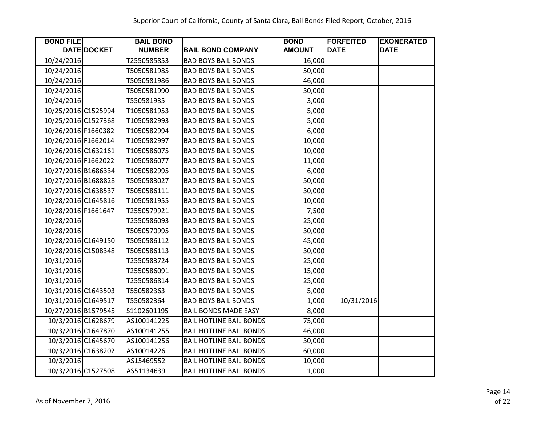| <b>BOND FILE</b>    |                    | <b>BAIL BOND</b> |                                | <b>BOND</b>   | <b>FORFEITED</b> | <b>EXONERATED</b> |
|---------------------|--------------------|------------------|--------------------------------|---------------|------------------|-------------------|
|                     | DATE DOCKET        | <b>NUMBER</b>    | <b>BAIL BOND COMPANY</b>       | <b>AMOUNT</b> | <b>DATE</b>      | <b>DATE</b>       |
| 10/24/2016          |                    | T2550585853      | <b>BAD BOYS BAIL BONDS</b>     | 16,000        |                  |                   |
| 10/24/2016          |                    | T5050581985      | <b>BAD BOYS BAIL BONDS</b>     | 50,000        |                  |                   |
| 10/24/2016          |                    | T5050581986      | <b>BAD BOYS BAIL BONDS</b>     | 46,000        |                  |                   |
| 10/24/2016          |                    | T5050581990      | <b>BAD BOYS BAIL BONDS</b>     | 30,000        |                  |                   |
| 10/24/2016          |                    | T550581935       | <b>BAD BOYS BAIL BONDS</b>     | 3,000         |                  |                   |
| 10/25/2016 C1525994 |                    | T1050581953      | <b>BAD BOYS BAIL BONDS</b>     | 5,000         |                  |                   |
| 10/25/2016 C1527368 |                    | T1050582993      | <b>BAD BOYS BAIL BONDS</b>     | 5,000         |                  |                   |
| 10/26/2016 F1660382 |                    | T1050582994      | <b>BAD BOYS BAIL BONDS</b>     | 6,000         |                  |                   |
| 10/26/2016 F1662014 |                    | T1050582997      | <b>BAD BOYS BAIL BONDS</b>     | 10,000        |                  |                   |
| 10/26/2016 C1632161 |                    | T1050586075      | <b>BAD BOYS BAIL BONDS</b>     | 10,000        |                  |                   |
| 10/26/2016 F1662022 |                    | T1050586077      | <b>BAD BOYS BAIL BONDS</b>     | 11,000        |                  |                   |
| 10/27/2016 B1686334 |                    | T1050582995      | <b>BAD BOYS BAIL BONDS</b>     | 6,000         |                  |                   |
| 10/27/2016 B1688828 |                    | T5050583027      | <b>BAD BOYS BAIL BONDS</b>     | 50,000        |                  |                   |
| 10/27/2016 C1638537 |                    | T5050586111      | <b>BAD BOYS BAIL BONDS</b>     | 30,000        |                  |                   |
| 10/28/2016 C1645816 |                    | T1050581955      | <b>BAD BOYS BAIL BONDS</b>     | 10,000        |                  |                   |
| 10/28/2016 F1661647 |                    | T2550579921      | <b>BAD BOYS BAIL BONDS</b>     | 7,500         |                  |                   |
| 10/28/2016          |                    | T2550586093      | <b>BAD BOYS BAIL BONDS</b>     | 25,000        |                  |                   |
| 10/28/2016          |                    | T5050570995      | <b>BAD BOYS BAIL BONDS</b>     | 30,000        |                  |                   |
| 10/28/2016 C1649150 |                    | T5050586112      | <b>BAD BOYS BAIL BONDS</b>     | 45,000        |                  |                   |
| 10/28/2016 C1508348 |                    | T5050586113      | <b>BAD BOYS BAIL BONDS</b>     | 30,000        |                  |                   |
| 10/31/2016          |                    | T2550583724      | <b>BAD BOYS BAIL BONDS</b>     | 25,000        |                  |                   |
| 10/31/2016          |                    | T2550586091      | <b>BAD BOYS BAIL BONDS</b>     | 15,000        |                  |                   |
| 10/31/2016          |                    | T2550586814      | <b>BAD BOYS BAIL BONDS</b>     | 25,000        |                  |                   |
| 10/31/2016 C1643503 |                    | T550582363       | <b>BAD BOYS BAIL BONDS</b>     | 5,000         |                  |                   |
| 10/31/2016 C1649517 |                    | T550582364       | <b>BAD BOYS BAIL BONDS</b>     | 1,000         | 10/31/2016       |                   |
| 10/27/2016 B1579545 |                    | S1102601195      | <b>BAIL BONDS MADE EASY</b>    | 8,000         |                  |                   |
|                     | 10/3/2016 C1628679 | AS100141225      | <b>BAIL HOTLINE BAIL BONDS</b> | 75,000        |                  |                   |
|                     | 10/3/2016 C1647870 | AS100141255      | <b>BAIL HOTLINE BAIL BONDS</b> | 46,000        |                  |                   |
|                     | 10/3/2016 C1645670 | AS100141256      | <b>BAIL HOTLINE BAIL BONDS</b> | 30,000        |                  |                   |
|                     | 10/3/2016 C1638202 | AS10014226       | <b>BAIL HOTLINE BAIL BONDS</b> | 60,000        |                  |                   |
| 10/3/2016           |                    | AS15469552       | <b>BAIL HOTLINE BAIL BONDS</b> | 10,000        |                  |                   |
|                     | 10/3/2016 C1527508 | AS51134639       | <b>BAIL HOTLINE BAIL BONDS</b> | 1,000         |                  |                   |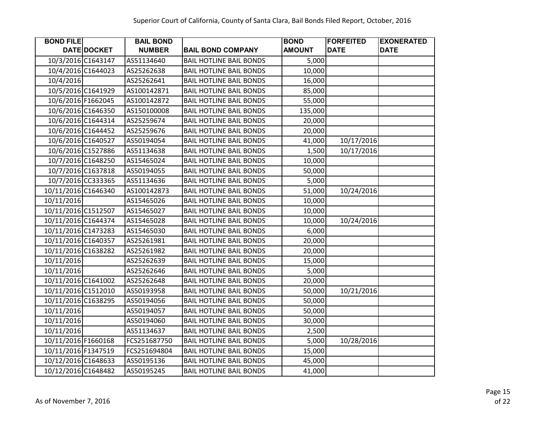| <b>BOND FILE</b>    |                    | <b>BAIL BOND</b> |                                | <b>BOND</b>   | <b>FORFEITED</b> | <b>EXONERATED</b> |
|---------------------|--------------------|------------------|--------------------------------|---------------|------------------|-------------------|
|                     | DATE DOCKET        | <b>NUMBER</b>    | <b>BAIL BOND COMPANY</b>       | <b>AMOUNT</b> | <b>DATE</b>      | <b>DATE</b>       |
|                     | 10/3/2016 C1643147 | AS51134640       | <b>BAIL HOTLINE BAIL BONDS</b> | 5,000         |                  |                   |
|                     | 10/4/2016 C1644023 | AS25262638       | <b>BAIL HOTLINE BAIL BONDS</b> | 10,000        |                  |                   |
| 10/4/2016           |                    | AS25262641       | <b>BAIL HOTLINE BAIL BONDS</b> | 16,000        |                  |                   |
|                     | 10/5/2016 C1641929 | AS100142871      | <b>BAIL HOTLINE BAIL BONDS</b> | 85,000        |                  |                   |
|                     | 10/6/2016 F1662045 | AS100142872      | <b>BAIL HOTLINE BAIL BONDS</b> | 55,000        |                  |                   |
|                     | 10/6/2016 C1646350 | AS150100008      | <b>BAIL HOTLINE BAIL BONDS</b> | 135,000       |                  |                   |
|                     | 10/6/2016 C1644314 | AS25259674       | <b>BAIL HOTLINE BAIL BONDS</b> | 20,000        |                  |                   |
|                     | 10/6/2016 C1644452 | AS25259676       | <b>BAIL HOTLINE BAIL BONDS</b> | 20,000        |                  |                   |
|                     | 10/6/2016 C1640527 | AS50194054       | <b>BAIL HOTLINE BAIL BONDS</b> | 41,000        | 10/17/2016       |                   |
|                     | 10/6/2016 C1527886 | AS51134638       | <b>BAIL HOTLINE BAIL BONDS</b> | 1,500         | 10/17/2016       |                   |
|                     | 10/7/2016 C1648250 | AS15465024       | <b>BAIL HOTLINE BAIL BONDS</b> | 10,000        |                  |                   |
|                     | 10/7/2016 C1637818 | AS50194055       | <b>BAIL HOTLINE BAIL BONDS</b> | 50,000        |                  |                   |
|                     | 10/7/2016 CC333365 | AS51134636       | <b>BAIL HOTLINE BAIL BONDS</b> | 5,000         |                  |                   |
| 10/11/2016 C1646340 |                    | AS100142873      | <b>BAIL HOTLINE BAIL BONDS</b> | 51,000        | 10/24/2016       |                   |
| 10/11/2016          |                    | AS15465026       | <b>BAIL HOTLINE BAIL BONDS</b> | 10,000        |                  |                   |
| 10/11/2016 C1512507 |                    | AS15465027       | <b>BAIL HOTLINE BAIL BONDS</b> | 10,000        |                  |                   |
| 10/11/2016 C1644374 |                    | AS15465028       | <b>BAIL HOTLINE BAIL BONDS</b> | 10,000        | 10/24/2016       |                   |
| 10/11/2016 C1473283 |                    | AS15465030       | <b>BAIL HOTLINE BAIL BONDS</b> | 6,000         |                  |                   |
| 10/11/2016 C1640357 |                    | AS25261981       | <b>BAIL HOTLINE BAIL BONDS</b> | 20,000        |                  |                   |
| 10/11/2016 C1638282 |                    | AS25261982       | <b>BAIL HOTLINE BAIL BONDS</b> | 20,000        |                  |                   |
| 10/11/2016          |                    | AS25262639       | <b>BAIL HOTLINE BAIL BONDS</b> | 15,000        |                  |                   |
| 10/11/2016          |                    | AS25262646       | <b>BAIL HOTLINE BAIL BONDS</b> | 5,000         |                  |                   |
| 10/11/2016 C1641002 |                    | AS25262648       | <b>BAIL HOTLINE BAIL BONDS</b> | 20,000        |                  |                   |
| 10/11/2016 C1512010 |                    | AS50193958       | <b>BAIL HOTLINE BAIL BONDS</b> | 50,000        | 10/21/2016       |                   |
| 10/11/2016 C1638295 |                    | AS50194056       | <b>BAIL HOTLINE BAIL BONDS</b> | 50,000        |                  |                   |
| 10/11/2016          |                    | AS50194057       | <b>BAIL HOTLINE BAIL BONDS</b> | 50,000        |                  |                   |
| 10/11/2016          |                    | AS50194060       | <b>BAIL HOTLINE BAIL BONDS</b> | 30,000        |                  |                   |
| 10/11/2016          |                    | AS51134637       | <b>BAIL HOTLINE BAIL BONDS</b> | 2,500         |                  |                   |
| 10/11/2016 F1660168 |                    | FCS251687750     | <b>BAIL HOTLINE BAIL BONDS</b> | 5,000         | 10/28/2016       |                   |
| 10/11/2016 F1347519 |                    | FCS251694804     | <b>BAIL HOTLINE BAIL BONDS</b> | 15,000        |                  |                   |
| 10/12/2016 C1648633 |                    | AS50195136       | <b>BAIL HOTLINE BAIL BONDS</b> | 45,000        |                  |                   |
| 10/12/2016 C1648482 |                    | AS50195245       | <b>BAIL HOTLINE BAIL BONDS</b> | 41,000        |                  |                   |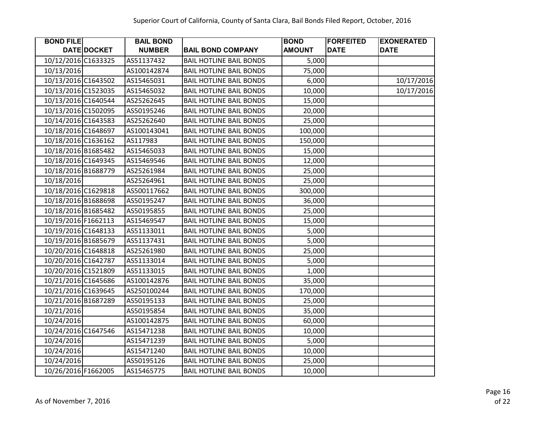| <b>BOND FILE</b>    |             | <b>BAIL BOND</b> |                                | <b>BOND</b>   | <b>FORFEITED</b> | <b>EXONERATED</b> |
|---------------------|-------------|------------------|--------------------------------|---------------|------------------|-------------------|
|                     | DATE DOCKET | <b>NUMBER</b>    | <b>BAIL BOND COMPANY</b>       | <b>AMOUNT</b> | <b>DATE</b>      | <b>DATE</b>       |
| 10/12/2016 C1633325 |             | AS51137432       | <b>BAIL HOTLINE BAIL BONDS</b> | 5,000         |                  |                   |
| 10/13/2016          |             | AS100142874      | <b>BAIL HOTLINE BAIL BONDS</b> | 75,000        |                  |                   |
| 10/13/2016 C1643502 |             | AS15465031       | <b>BAIL HOTLINE BAIL BONDS</b> | 6,000         |                  | 10/17/2016        |
| 10/13/2016 C1523035 |             | AS15465032       | <b>BAIL HOTLINE BAIL BONDS</b> | 10,000        |                  | 10/17/2016        |
| 10/13/2016 C1640544 |             | AS25262645       | <b>BAIL HOTLINE BAIL BONDS</b> | 15,000        |                  |                   |
| 10/13/2016 C1502095 |             | AS50195246       | <b>BAIL HOTLINE BAIL BONDS</b> | 20,000        |                  |                   |
| 10/14/2016 C1643583 |             | AS25262640       | <b>BAIL HOTLINE BAIL BONDS</b> | 25,000        |                  |                   |
| 10/18/2016 C1648697 |             | AS100143041      | <b>BAIL HOTLINE BAIL BONDS</b> | 100,000       |                  |                   |
| 10/18/2016 C1636162 |             | AS117983         | <b>BAIL HOTLINE BAIL BONDS</b> | 150,000       |                  |                   |
| 10/18/2016 B1685482 |             | AS15465033       | <b>BAIL HOTLINE BAIL BONDS</b> | 15,000        |                  |                   |
| 10/18/2016 C1649345 |             | AS15469546       | <b>BAIL HOTLINE BAIL BONDS</b> | 12,000        |                  |                   |
| 10/18/2016 B1688779 |             | AS25261984       | <b>BAIL HOTLINE BAIL BONDS</b> | 25,000        |                  |                   |
| 10/18/2016          |             | AS25264961       | <b>BAIL HOTLINE BAIL BONDS</b> | 25,000        |                  |                   |
| 10/18/2016 C1629818 |             | AS500117662      | <b>BAIL HOTLINE BAIL BONDS</b> | 300,000       |                  |                   |
| 10/18/2016 B1688698 |             | AS50195247       | <b>BAIL HOTLINE BAIL BONDS</b> | 36,000        |                  |                   |
| 10/18/2016 B1685482 |             | AS50195855       | <b>BAIL HOTLINE BAIL BONDS</b> | 25,000        |                  |                   |
| 10/19/2016 F1662113 |             | AS15469547       | <b>BAIL HOTLINE BAIL BONDS</b> | 15,000        |                  |                   |
| 10/19/2016 C1648133 |             | AS51133011       | <b>BAIL HOTLINE BAIL BONDS</b> | 5,000         |                  |                   |
| 10/19/2016 B1685679 |             | AS51137431       | <b>BAIL HOTLINE BAIL BONDS</b> | 5,000         |                  |                   |
| 10/20/2016 C1648818 |             | AS25261980       | <b>BAIL HOTLINE BAIL BONDS</b> | 25,000        |                  |                   |
| 10/20/2016 C1642787 |             | AS51133014       | <b>BAIL HOTLINE BAIL BONDS</b> | 5,000         |                  |                   |
| 10/20/2016 C1521809 |             | AS51133015       | <b>BAIL HOTLINE BAIL BONDS</b> | 1,000         |                  |                   |
| 10/21/2016 C1645686 |             | AS100142876      | <b>BAIL HOTLINE BAIL BONDS</b> | 35,000        |                  |                   |
| 10/21/2016 C1639645 |             | AS250100244      | <b>BAIL HOTLINE BAIL BONDS</b> | 170,000       |                  |                   |
| 10/21/2016 B1687289 |             | AS50195133       | <b>BAIL HOTLINE BAIL BONDS</b> | 25,000        |                  |                   |
| 10/21/2016          |             | AS50195854       | <b>BAIL HOTLINE BAIL BONDS</b> | 35,000        |                  |                   |
| 10/24/2016          |             | AS100142875      | <b>BAIL HOTLINE BAIL BONDS</b> | 60,000        |                  |                   |
| 10/24/2016 C1647546 |             | AS15471238       | <b>BAIL HOTLINE BAIL BONDS</b> | 10,000        |                  |                   |
| 10/24/2016          |             | AS15471239       | <b>BAIL HOTLINE BAIL BONDS</b> | 5,000         |                  |                   |
| 10/24/2016          |             | AS15471240       | <b>BAIL HOTLINE BAIL BONDS</b> | 10,000        |                  |                   |
| 10/24/2016          |             | AS50195126       | <b>BAIL HOTLINE BAIL BONDS</b> | 25,000        |                  |                   |
| 10/26/2016 F1662005 |             | AS15465775       | <b>BAIL HOTLINE BAIL BONDS</b> | 10,000        |                  |                   |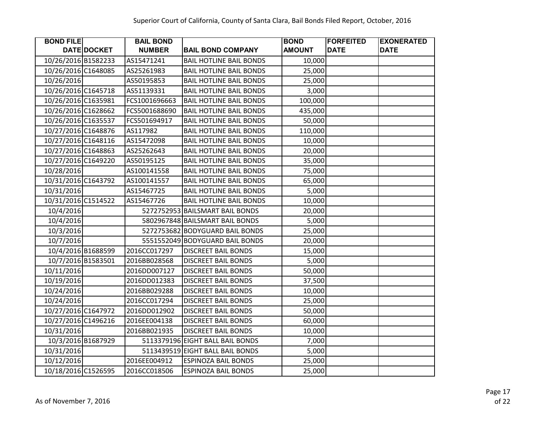| <b>BOND FILE</b>    |             | <b>BAIL BOND</b> |                                  | <b>BOND</b>   | <b>FORFEITED</b> | <b>EXONERATED</b> |
|---------------------|-------------|------------------|----------------------------------|---------------|------------------|-------------------|
|                     | DATE DOCKET | <b>NUMBER</b>    | <b>BAIL BOND COMPANY</b>         | <b>AMOUNT</b> | <b>DATE</b>      | <b>DATE</b>       |
| 10/26/2016 B1582233 |             | AS15471241       | <b>BAIL HOTLINE BAIL BONDS</b>   | 10,000        |                  |                   |
| 10/26/2016 C1648085 |             | AS25261983       | <b>BAIL HOTLINE BAIL BONDS</b>   | 25,000        |                  |                   |
| 10/26/2016          |             | AS50195853       | <b>BAIL HOTLINE BAIL BONDS</b>   | 25,000        |                  |                   |
| 10/26/2016 C1645718 |             | AS51139331       | <b>BAIL HOTLINE BAIL BONDS</b>   | 3,000         |                  |                   |
| 10/26/2016 C1635981 |             | FCS1001696663    | <b>BAIL HOTLINE BAIL BONDS</b>   | 100,000       |                  |                   |
| 10/26/2016 C1628662 |             | FCS5001688690    | <b>BAIL HOTLINE BAIL BONDS</b>   | 435,000       |                  |                   |
| 10/26/2016 C1635537 |             | FCS501694917     | <b>BAIL HOTLINE BAIL BONDS</b>   | 50,000        |                  |                   |
| 10/27/2016 C1648876 |             | AS117982         | <b>BAIL HOTLINE BAIL BONDS</b>   | 110,000       |                  |                   |
| 10/27/2016 C1648116 |             | AS15472098       | <b>BAIL HOTLINE BAIL BONDS</b>   | 10,000        |                  |                   |
| 10/27/2016 C1648863 |             | AS25262643       | <b>BAIL HOTLINE BAIL BONDS</b>   | 20,000        |                  |                   |
| 10/27/2016 C1649220 |             | AS50195125       | <b>BAIL HOTLINE BAIL BONDS</b>   | 35,000        |                  |                   |
| 10/28/2016          |             | AS100141558      | <b>BAIL HOTLINE BAIL BONDS</b>   | 75,000        |                  |                   |
| 10/31/2016 C1643792 |             | AS100141557      | <b>BAIL HOTLINE BAIL BONDS</b>   | 65,000        |                  |                   |
| 10/31/2016          |             | AS15467725       | <b>BAIL HOTLINE BAIL BONDS</b>   | 5,000         |                  |                   |
| 10/31/2016 C1514522 |             | AS15467726       | <b>BAIL HOTLINE BAIL BONDS</b>   | 10,000        |                  |                   |
| 10/4/2016           |             |                  | 5272752953 BAILSMART BAIL BONDS  | 20,000        |                  |                   |
| 10/4/2016           |             |                  | 5802967848 BAILSMART BAIL BONDS  | 5,000         |                  |                   |
| 10/3/2016           |             |                  | 5272753682 BODYGUARD BAIL BONDS  | 25,000        |                  |                   |
| 10/7/2016           |             |                  | 5551552049 BODYGUARD BAIL BONDS  | 20,000        |                  |                   |
| 10/4/2016 B1688599  |             | 2016CC017297     | <b>DISCREET BAIL BONDS</b>       | 15,000        |                  |                   |
| 10/7/2016 B1583501  |             | 2016BB028568     | <b>DISCREET BAIL BONDS</b>       | 5,000         |                  |                   |
| 10/11/2016          |             | 2016DD007127     | <b>DISCREET BAIL BONDS</b>       | 50,000        |                  |                   |
| 10/19/2016          |             | 2016DD012383     | <b>DISCREET BAIL BONDS</b>       | 37,500        |                  |                   |
| 10/24/2016          |             | 2016BB029288     | <b>DISCREET BAIL BONDS</b>       | 10,000        |                  |                   |
| 10/24/2016          |             | 2016CC017294     | <b>DISCREET BAIL BONDS</b>       | 25,000        |                  |                   |
| 10/27/2016 C1647972 |             | 2016DD012902     | <b>DISCREET BAIL BONDS</b>       | 50,000        |                  |                   |
| 10/27/2016 C1496216 |             | 2016EE004138     | <b>DISCREET BAIL BONDS</b>       | 60,000        |                  |                   |
| 10/31/2016          |             | 2016BB021935     | <b>DISCREET BAIL BONDS</b>       | 10,000        |                  |                   |
| 10/3/2016 B1687929  |             |                  | 5113379196 EIGHT BALL BAIL BONDS | 7,000         |                  |                   |
| 10/31/2016          |             |                  | 5113439519 EIGHT BALL BAIL BONDS | 5,000         |                  |                   |
| 10/12/2016          |             | 2016EE004912     | <b>ESPINOZA BAIL BONDS</b>       | 25,000        |                  |                   |
| 10/18/2016 C1526595 |             | 2016CC018506     | <b>ESPINOZA BAIL BONDS</b>       | 25,000        |                  |                   |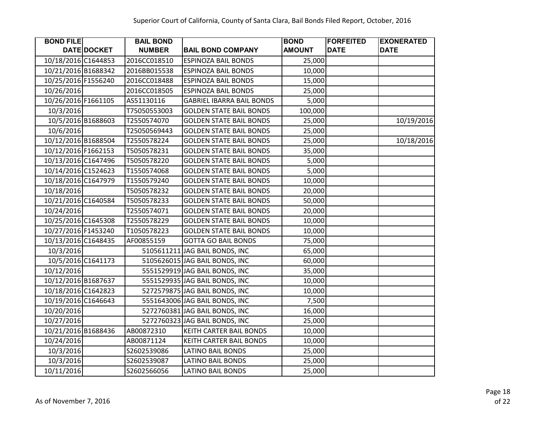| <b>BOND FILE</b>    |             | <b>BAIL BOND</b> |                                  | <b>BOND</b>   | <b>FORFEITED</b> | <b>EXONERATED</b> |
|---------------------|-------------|------------------|----------------------------------|---------------|------------------|-------------------|
|                     | DATE DOCKET | <b>NUMBER</b>    | <b>BAIL BOND COMPANY</b>         | <b>AMOUNT</b> | <b>DATE</b>      | <b>DATE</b>       |
| 10/18/2016 C1644853 |             | 2016CC018510     | <b>ESPINOZA BAIL BONDS</b>       | 25,000        |                  |                   |
| 10/21/2016 B1688342 |             | 2016BB015538     | <b>ESPINOZA BAIL BONDS</b>       | 10,000        |                  |                   |
| 10/25/2016 F1556240 |             | 2016CC018488     | <b>ESPINOZA BAIL BONDS</b>       | 15,000        |                  |                   |
| 10/26/2016          |             | 2016CC018505     | <b>ESPINOZA BAIL BONDS</b>       | 25,000        |                  |                   |
| 10/26/2016 F1661105 |             | AS51130116       | <b>GABRIEL IBARRA BAIL BONDS</b> | 5,000         |                  |                   |
| 10/3/2016           |             | T75050553003     | <b>GOLDEN STATE BAIL BONDS</b>   | 100,000       |                  |                   |
| 10/5/2016 B1688603  |             | T2550574070      | <b>GOLDEN STATE BAIL BONDS</b>   | 25,000        |                  | 10/19/2016        |
| 10/6/2016           |             | T25050569443     | <b>GOLDEN STATE BAIL BONDS</b>   | 25,000        |                  |                   |
| 10/12/2016 B1688504 |             | T2550578224      | <b>GOLDEN STATE BAIL BONDS</b>   | 25,000        |                  | 10/18/2016        |
| 10/12/2016 F1662153 |             | T5050578231      | <b>GOLDEN STATE BAIL BONDS</b>   | 35,000        |                  |                   |
| 10/13/2016 C1647496 |             | T5050578220      | <b>GOLDEN STATE BAIL BONDS</b>   | 5,000         |                  |                   |
| 10/14/2016 C1524623 |             | T1550574068      | <b>GOLDEN STATE BAIL BONDS</b>   | 5,000         |                  |                   |
| 10/18/2016 C1647979 |             | T1550579240      | <b>GOLDEN STATE BAIL BONDS</b>   | 10,000        |                  |                   |
| 10/18/2016          |             | T5050578232      | <b>GOLDEN STATE BAIL BONDS</b>   | 20,000        |                  |                   |
| 10/21/2016 C1640584 |             | T5050578233      | <b>GOLDEN STATE BAIL BONDS</b>   | 50,000        |                  |                   |
| 10/24/2016          |             | T2550574071      | <b>GOLDEN STATE BAIL BONDS</b>   | 20,000        |                  |                   |
| 10/25/2016 C1645308 |             | T2550578229      | <b>GOLDEN STATE BAIL BONDS</b>   | 10,000        |                  |                   |
| 10/27/2016 F1453240 |             | T1050578223      | <b>GOLDEN STATE BAIL BONDS</b>   | 10,000        |                  |                   |
| 10/13/2016 C1648435 |             | AF00855159       | <b>GOTTA GO BAIL BONDS</b>       | 75,000        |                  |                   |
| 10/3/2016           |             |                  | 5105611211 JAG BAIL BONDS, INC   | 65,000        |                  |                   |
| 10/5/2016 C1641173  |             |                  | 5105626015 JAG BAIL BONDS, INC   | 60,000        |                  |                   |
| 10/12/2016          |             |                  | 5551529919 JAG BAIL BONDS, INC   | 35,000        |                  |                   |
| 10/12/2016 B1687637 |             |                  | 5551529935 JAG BAIL BONDS, INC   | 10,000        |                  |                   |
| 10/18/2016 C1642823 |             |                  | 5272579875 JAG BAIL BONDS, INC   | 10,000        |                  |                   |
| 10/19/2016 C1646643 |             |                  | 5551643006 JAG BAIL BONDS, INC   | 7,500         |                  |                   |
| 10/20/2016          |             |                  | 5272760381 JAG BAIL BONDS, INC   | 16,000        |                  |                   |
| 10/27/2016          |             |                  | 5272760323 JAG BAIL BONDS, INC   | 25,000        |                  |                   |
| 10/21/2016 B1688436 |             | AB00872310       | KEITH CARTER BAIL BONDS          | 10,000        |                  |                   |
| 10/24/2016          |             | AB00871124       | KEITH CARTER BAIL BONDS          | 10,000        |                  |                   |
| 10/3/2016           |             | S2602539086      | LATINO BAIL BONDS                | 25,000        |                  |                   |
| 10/3/2016           |             | S2602539087      | LATINO BAIL BONDS                | 25,000        |                  |                   |
| 10/11/2016          |             | S2602566056      | <b>LATINO BAIL BONDS</b>         | 25,000        |                  |                   |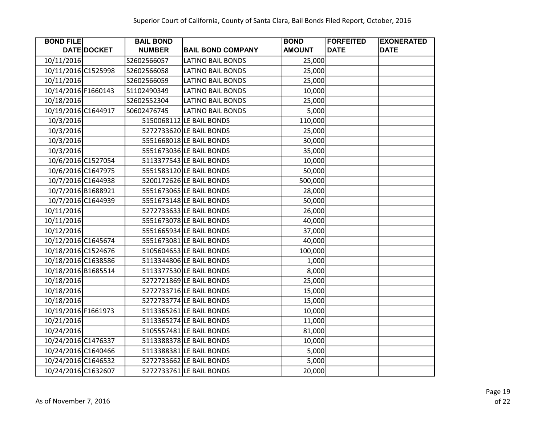| <b>BOND FILE</b>    |                    | <b>BAIL BOND</b> |                          | <b>BOND</b>   | <b>FORFEITED</b> | <b>EXONERATED</b> |
|---------------------|--------------------|------------------|--------------------------|---------------|------------------|-------------------|
|                     | DATE DOCKET        | <b>NUMBER</b>    | <b>BAIL BOND COMPANY</b> | <b>AMOUNT</b> | <b>DATE</b>      | <b>DATE</b>       |
| 10/11/2016          |                    | S2602566057      | <b>LATINO BAIL BONDS</b> | 25,000        |                  |                   |
| 10/11/2016 C1525998 |                    | S2602566058      | <b>LATINO BAIL BONDS</b> | 25,000        |                  |                   |
| 10/11/2016          |                    | S2602566059      | <b>LATINO BAIL BONDS</b> | 25,000        |                  |                   |
| 10/14/2016 F1660143 |                    | S1102490349      | <b>LATINO BAIL BONDS</b> | 10,000        |                  |                   |
| 10/18/2016          |                    | S2602552304      | <b>LATINO BAIL BONDS</b> | 25,000        |                  |                   |
| 10/19/2016 C1644917 |                    | S0602476745      | <b>LATINO BAIL BONDS</b> | 5,000         |                  |                   |
| 10/3/2016           |                    |                  | 5150068112 LE BAIL BONDS | 110,000       |                  |                   |
| 10/3/2016           |                    |                  | 5272733620 LE BAIL BONDS | 25,000        |                  |                   |
| 10/3/2016           |                    |                  | 5551668018 LE BAIL BONDS | 30,000        |                  |                   |
| 10/3/2016           |                    |                  | 5551673036 LE BAIL BONDS | 35,000        |                  |                   |
|                     | 10/6/2016 C1527054 |                  | 5113377543 LE BAIL BONDS | 10,000        |                  |                   |
|                     | 10/6/2016 C1647975 |                  | 5551583120 LE BAIL BONDS | 50,000        |                  |                   |
|                     | 10/7/2016 C1644938 |                  | 5200172626 LE BAIL BONDS | 500,000       |                  |                   |
|                     | 10/7/2016 B1688921 |                  | 5551673065 LE BAIL BONDS | 28,000        |                  |                   |
|                     | 10/7/2016 C1644939 |                  | 5551673148 LE BAIL BONDS | 50,000        |                  |                   |
| 10/11/2016          |                    |                  | 5272733633 LE BAIL BONDS | 26,000        |                  |                   |
| 10/11/2016          |                    |                  | 5551673078 LE BAIL BONDS | 40,000        |                  |                   |
| 10/12/2016          |                    |                  | 5551665934 LE BAIL BONDS | 37,000        |                  |                   |
| 10/12/2016 C1645674 |                    |                  | 5551673081 LE BAIL BONDS | 40,000        |                  |                   |
| 10/18/2016 C1524676 |                    |                  | 5105604653 LE BAIL BONDS | 100,000       |                  |                   |
| 10/18/2016 C1638586 |                    |                  | 5113344806 LE BAIL BONDS | 1,000         |                  |                   |
| 10/18/2016 B1685514 |                    |                  | 5113377530 LE BAIL BONDS | 8,000         |                  |                   |
| 10/18/2016          |                    |                  | 5272721869 LE BAIL BONDS | 25,000        |                  |                   |
| 10/18/2016          |                    |                  | 5272733716 LE BAIL BONDS | 15,000        |                  |                   |
| 10/18/2016          |                    |                  | 5272733774 LE BAIL BONDS | 15,000        |                  |                   |
| 10/19/2016 F1661973 |                    |                  | 5113365261 LE BAIL BONDS | 10,000        |                  |                   |
| 10/21/2016          |                    |                  | 5113365274 LE BAIL BONDS | 11,000        |                  |                   |
| 10/24/2016          |                    |                  | 5105557481 LE BAIL BONDS | 81,000        |                  |                   |
| 10/24/2016 C1476337 |                    |                  | 5113388378 LE BAIL BONDS | 10,000        |                  |                   |
| 10/24/2016 C1640466 |                    |                  | 5113388381 LE BAIL BONDS | 5,000         |                  |                   |
| 10/24/2016 C1646532 |                    |                  | 5272733662 LE BAIL BONDS | 5,000         |                  |                   |
| 10/24/2016 C1632607 |                    |                  | 5272733761 LE BAIL BONDS | 20,000        |                  |                   |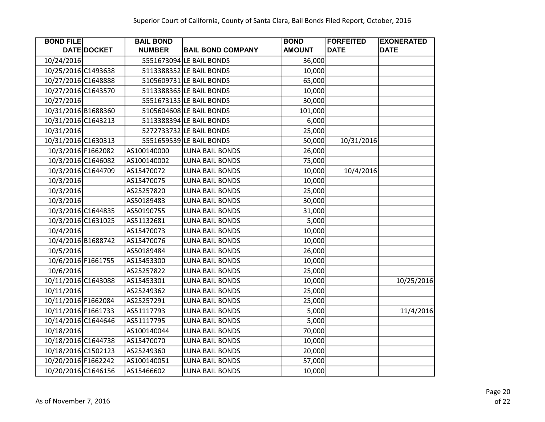| <b>BOND FILE</b>    |                    | <b>BAIL BOND</b> |                          | <b>BOND</b>   | <b>FORFEITED</b> | <b>EXONERATED</b> |
|---------------------|--------------------|------------------|--------------------------|---------------|------------------|-------------------|
|                     | DATE DOCKET        | <b>NUMBER</b>    | <b>BAIL BOND COMPANY</b> | <b>AMOUNT</b> | <b>DATE</b>      | <b>DATE</b>       |
| 10/24/2016          |                    |                  | 5551673094 LE BAIL BONDS | 36,000        |                  |                   |
| 10/25/2016 C1493638 |                    |                  | 5113388352 LE BAIL BONDS | 10,000        |                  |                   |
| 10/27/2016 C1648888 |                    |                  | 5105609731 LE BAIL BONDS | 65,000        |                  |                   |
| 10/27/2016 C1643570 |                    |                  | 5113388365 LE BAIL BONDS | 10,000        |                  |                   |
| 10/27/2016          |                    |                  | 5551673135 LE BAIL BONDS | 30,000        |                  |                   |
| 10/31/2016 B1688360 |                    |                  | 5105604608 LE BAIL BONDS | 101,000       |                  |                   |
| 10/31/2016 C1643213 |                    |                  | 5113388394 LE BAIL BONDS | 6,000         |                  |                   |
| 10/31/2016          |                    |                  | 5272733732 LE BAIL BONDS | 25,000        |                  |                   |
| 10/31/2016 C1630313 |                    |                  | 5551659539 LE BAIL BONDS | 50,000        | 10/31/2016       |                   |
|                     | 10/3/2016 F1662082 | AS100140000      | <b>LUNA BAIL BONDS</b>   | 26,000        |                  |                   |
|                     | 10/3/2016 C1646082 | AS100140002      | LUNA BAIL BONDS          | 75,000        |                  |                   |
|                     | 10/3/2016 C1644709 | AS15470072       | <b>LUNA BAIL BONDS</b>   | 10,000        | 10/4/2016        |                   |
| 10/3/2016           |                    | AS15470075       | <b>LUNA BAIL BONDS</b>   | 10,000        |                  |                   |
| 10/3/2016           |                    | AS25257820       | <b>LUNA BAIL BONDS</b>   | 25,000        |                  |                   |
| 10/3/2016           |                    | AS50189483       | <b>LUNA BAIL BONDS</b>   | 30,000        |                  |                   |
|                     | 10/3/2016 C1644835 | AS50190755       | <b>LUNA BAIL BONDS</b>   | 31,000        |                  |                   |
|                     | 10/3/2016 C1631025 | AS51132681       | <b>LUNA BAIL BONDS</b>   | 5,000         |                  |                   |
| 10/4/2016           |                    | AS15470073       | LUNA BAIL BONDS          | 10,000        |                  |                   |
|                     | 10/4/2016 B1688742 | AS15470076       | <b>LUNA BAIL BONDS</b>   | 10,000        |                  |                   |
| 10/5/2016           |                    | AS50189484       | <b>LUNA BAIL BONDS</b>   | 26,000        |                  |                   |
|                     | 10/6/2016 F1661755 | AS15453300       | LUNA BAIL BONDS          | 10,000        |                  |                   |
| 10/6/2016           |                    | AS25257822       | <b>LUNA BAIL BONDS</b>   | 25,000        |                  |                   |
| 10/11/2016 C1643088 |                    | AS15453301       | <b>LUNA BAIL BONDS</b>   | 10,000        |                  | 10/25/2016        |
| 10/11/2016          |                    | AS25249362       | LUNA BAIL BONDS          | 25,000        |                  |                   |
| 10/11/2016 F1662084 |                    | AS25257291       | LUNA BAIL BONDS          | 25,000        |                  |                   |
| 10/11/2016 F1661733 |                    | AS51117793       | <b>LUNA BAIL BONDS</b>   | 5,000         |                  | 11/4/2016         |
| 10/14/2016 C1644646 |                    | AS51117795       | <b>LUNA BAIL BONDS</b>   | 5,000         |                  |                   |
| 10/18/2016          |                    | AS100140044      | <b>LUNA BAIL BONDS</b>   | 70,000        |                  |                   |
| 10/18/2016 C1644738 |                    | AS15470070       | <b>LUNA BAIL BONDS</b>   | 10,000        |                  |                   |
| 10/18/2016 C1502123 |                    | AS25249360       | LUNA BAIL BONDS          | 20,000        |                  |                   |
| 10/20/2016 F1662242 |                    | AS100140051      | LUNA BAIL BONDS          | 57,000        |                  |                   |
| 10/20/2016 C1646156 |                    | AS15466602       | <b>LUNA BAIL BONDS</b>   | 10,000        |                  |                   |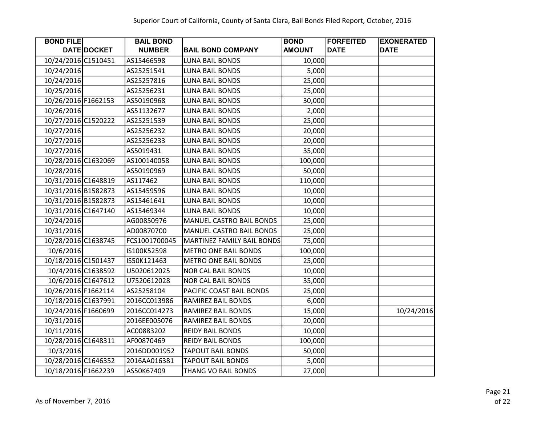| <b>BOND FILE</b>    |                    | <b>BAIL BOND</b> |                                   | <b>BOND</b>   | <b>FORFEITED</b> | <b>EXONERATED</b> |
|---------------------|--------------------|------------------|-----------------------------------|---------------|------------------|-------------------|
|                     | DATE DOCKET        | <b>NUMBER</b>    | <b>BAIL BOND COMPANY</b>          | <b>AMOUNT</b> | <b>DATE</b>      | <b>DATE</b>       |
| 10/24/2016 C1510451 |                    | AS15466598       | <b>LUNA BAIL BONDS</b>            | 10,000        |                  |                   |
| 10/24/2016          |                    | AS25251541       | <b>LUNA BAIL BONDS</b>            | 5,000         |                  |                   |
| 10/24/2016          |                    | AS25257816       | <b>LUNA BAIL BONDS</b>            | 25,000        |                  |                   |
| 10/25/2016          |                    | AS25256231       | <b>LUNA BAIL BONDS</b>            | 25,000        |                  |                   |
| 10/26/2016 F1662153 |                    | AS50190968       | <b>LUNA BAIL BONDS</b>            | 30,000        |                  |                   |
| 10/26/2016          |                    | AS51132677       | <b>LUNA BAIL BONDS</b>            | 2,000         |                  |                   |
| 10/27/2016 C1520222 |                    | AS25251539       | <b>LUNA BAIL BONDS</b>            | 25,000        |                  |                   |
| 10/27/2016          |                    | AS25256232       | <b>LUNA BAIL BONDS</b>            | 20,000        |                  |                   |
| 10/27/2016          |                    | AS25256233       | <b>LUNA BAIL BONDS</b>            | 20,000        |                  |                   |
| 10/27/2016          |                    | AS5019431        | <b>LUNA BAIL BONDS</b>            | 35,000        |                  |                   |
| 10/28/2016 C1632069 |                    | AS100140058      | <b>LUNA BAIL BONDS</b>            | 100,000       |                  |                   |
| 10/28/2016          |                    | AS50190969       | <b>LUNA BAIL BONDS</b>            | 50,000        |                  |                   |
| 10/31/2016 C1648819 |                    | AS117462         | <b>LUNA BAIL BONDS</b>            | 110,000       |                  |                   |
| 10/31/2016 B1582873 |                    | AS15459596       | <b>LUNA BAIL BONDS</b>            | 10,000        |                  |                   |
| 10/31/2016 B1582873 |                    | AS15461641       | <b>LUNA BAIL BONDS</b>            | 10,000        |                  |                   |
| 10/31/2016 C1647140 |                    | AS15469344       | <b>LUNA BAIL BONDS</b>            | 10,000        |                  |                   |
| 10/24/2016          |                    | AG00850976       | MANUEL CASTRO BAIL BONDS          | 25,000        |                  |                   |
| 10/31/2016          |                    | AD00870700       | MANUEL CASTRO BAIL BONDS          | 25,000        |                  |                   |
| 10/28/2016 C1638745 |                    | FCS1001700045    | <b>MARTINEZ FAMILY BAIL BONDS</b> | 75,000        |                  |                   |
| 10/6/2016           |                    | IS100K52598      | <b>METRO ONE BAIL BONDS</b>       | 100,000       |                  |                   |
| 10/18/2016 C1501437 |                    | IS50K121463      | METRO ONE BAIL BONDS              | 25,000        |                  |                   |
|                     | 10/4/2016 C1638592 | U5020612025      | <b>NOR CAL BAIL BONDS</b>         | 10,000        |                  |                   |
|                     | 10/6/2016 C1647612 | U7520612028      | <b>NOR CAL BAIL BONDS</b>         | 35,000        |                  |                   |
| 10/26/2016 F1662114 |                    | AS25258104       | PACIFIC COAST BAIL BONDS          | 25,000        |                  |                   |
| 10/18/2016 C1637991 |                    | 2016CC013986     | RAMIREZ BAIL BONDS                | 6,000         |                  |                   |
| 10/24/2016 F1660699 |                    | 2016CC014273     | RAMIREZ BAIL BONDS                | 15,000        |                  | 10/24/2016        |
| 10/31/2016          |                    | 2016EE005076     | RAMIREZ BAIL BONDS                | 20,000        |                  |                   |
| 10/11/2016          |                    | AC00883202       | <b>REIDY BAIL BONDS</b>           | 10,000        |                  |                   |
| 10/28/2016 C1648311 |                    | AF00870469       | <b>REIDY BAIL BONDS</b>           | 100,000       |                  |                   |
| 10/3/2016           |                    | 2016DD001952     | <b>TAPOUT BAIL BONDS</b>          | 50,000        |                  |                   |
| 10/28/2016 C1646352 |                    | 2016AA016381     | <b>TAPOUT BAIL BONDS</b>          | 5,000         |                  |                   |
| 10/18/2016 F1662239 |                    | AS50K67409       | THANG VO BAIL BONDS               | 27,000        |                  |                   |